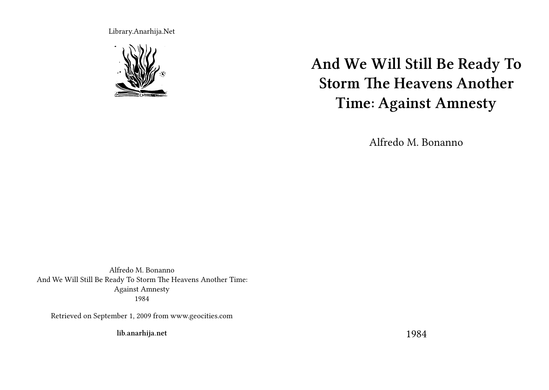Library.Anarhija.Net



# **And We Will Still Be Ready To Storm The Heavens Another Time: Against Amnesty**

Alfredo M. Bonanno

Alfredo M. Bonanno And We Will Still Be Ready To Storm The Heavens Another Time: Against Amnesty 1984

Retrieved on September 1, 2009 from www.geocities.com

**lib.anarhija.net**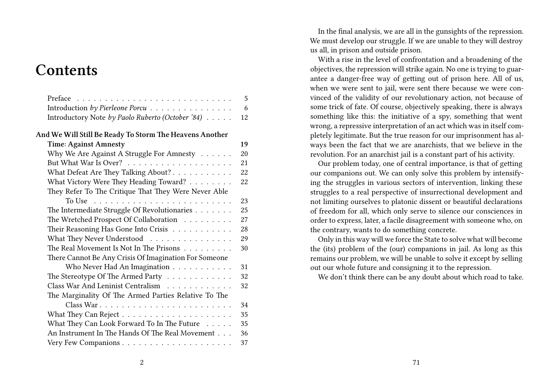# **Contents**

| Preface                                                                 | 5  |
|-------------------------------------------------------------------------|----|
| Introduction by Pierleone Porcu                                         | 6  |
| Introductory Note by Paolo Ruberto (October '84)                        | 12 |
| And We Will Still Be Ready To Storm The Heavens Another                 |    |
| <b>Time: Against Amnesty</b>                                            | 19 |
| Why We Are Against A Struggle For Amnesty                               | 20 |
|                                                                         | 21 |
| What Defeat Are They Talking About?                                     | 22 |
| What Victory Were They Heading Toward?                                  | 22 |
| They Refer To The Critique That They Were Never Able                    |    |
| To Use $\ldots \ldots \ldots \ldots \ldots \ldots \ldots \ldots \ldots$ | 23 |
| The Intermediate Struggle Of Revolutionaries                            | 25 |
| The Wretched Prospect Of Collaboration                                  | 27 |
| Their Reasoning Has Gone Into Crisis                                    | 28 |
| What They Never Understood                                              | 29 |
| The Real Movement Is Not In The Prisons                                 | 30 |
| There Cannot Be Any Crisis Of Imagination For Someone                   |    |
| Who Never Had An Imagination                                            | 31 |
| The Stereotype Of The Armed Party                                       | 32 |
| Class War And Leninist Centralism                                       | 32 |
| The Marginality Of The Armed Parties Relative To The                    |    |
|                                                                         | 34 |
|                                                                         | 35 |
| What They Can Look Forward To In The Future                             | 35 |
| An Instrument In The Hands Of The Real Movement                         | 36 |
|                                                                         | 37 |

In the final analysis, we are all in the gunsights of the repression. We must develop our struggle. If we are unable to they will destroy us all, in prison and outside prison.

With a rise in the level of confrontation and a broadening of the objectives, the repression will strike again. No one is trying to guarantee a danger-free way of getting out of prison here. All of us, when we were sent to jail, were sent there because we were convinced of the validity of our revolutionary action, not because of some trick of fate. Of course, objectively speaking, there is always something like this: the initiative of a spy, something that went wrong, a repressive interpretation of an act which was in itself completely legitimate. But the true reason for our imprisonment has always been the fact that we are anarchists, that we believe in the revolution. For an anarchist jail is a constant part of his activity.

Our problem today, one of central importance, is that of getting our companions out. We can only solve this problem by intensifying the struggles in various sectors of intervention, linking these struggles to a real perspective of insurrectional development and not limiting ourselves to platonic dissent or beautiful declarations of freedom for all, which only serve to silence our consciences in order to express, later, a facile disagreement with someone who, on the contrary, wants to do something concrete.

Only in this way will we force the State to solve what will become the (its) problem of the (our) companions in jail. As long as this remains our problem, we will be unable to solve it except by selling out our whole future and consigning it to the repression.

We don't think there can be any doubt about which road to take.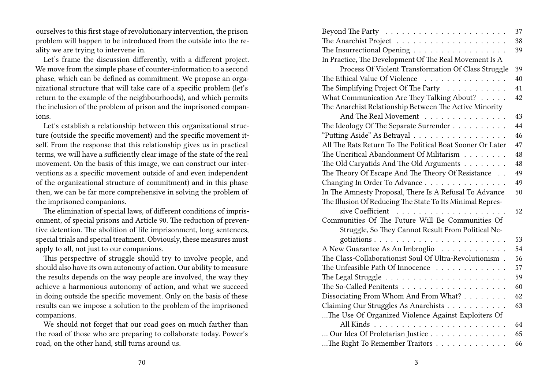ourselves to this first stage of revolutionary intervention, the prison problem will happen to be introduced from the outside into the reality we are trying to intervene in.

Let's frame the discussion differently, with a different project. We move from the simple phase of counter-information to a second phase, which can be defined as commitment. We propose an organizational structure that will take care of a specific problem (let's return to the example of the neighbourhoods), and which permits the inclusion of the problem of prison and the imprisoned companions.

Let's establish a relationship between this organizational structure (outside the specific movement) and the specific movement itself. From the response that this relationship gives us in practical terms, we will have a sufficiently clear image of the state of the real movement. On the basis of this image, we can construct our interventions as a specific movement outside of and even independent of the organizational structure of commitment) and in this phase then, we can be far more comprehensive in solving the problem of the imprisoned companions.

The elimination of special laws, of different conditions of imprisonment, of special prisons and Article 90. The reduction of preventive detention. The abolition of life imprisonment, long sentences, special trials and special treatment. Obviously, these measures must apply to all, not just to our companions.

This perspective of struggle should try to involve people, and should also have its own autonomy of action. Our ability to measure the results depends on the way people are involved, the way they achieve a harmonious autonomy of action, and what we succeed in doing outside the specific movement. Only on the basis of these results can we impose a solution to the problem of the imprisoned companions.

We should not forget that our road goes on much farther than the road of those who are preparing to collaborate today. Power's road, on the other hand, still turns around us.

|                                                                       | 37 |
|-----------------------------------------------------------------------|----|
|                                                                       | 38 |
| The Insurrectional Opening                                            | 39 |
| In Practice, The Development Of The Real Movement Is A                |    |
| Process Of Violent Transformation Of Class Struggle                   | 39 |
| The Ethical Value Of Violence<br>.                                    | 40 |
| The Simplifying Project Of The Party                                  | 41 |
| What Communication Are They Talking About?                            | 42 |
| The Anarchist Relationship Between The Active Minority                |    |
| And The Real Movement                                                 | 43 |
| The Ideology Of The Separate Surrender                                | 44 |
| "Putting Aside" As Betrayal                                           | 46 |
| All The Rats Return To The Political Boat Sooner Or Later             | 47 |
| The Uncritical Abandonment Of Militarism                              | 48 |
| The Old Caryatids And The Old Arguments                               | 48 |
| The Theory Of Escape And The Theory Of Resistance                     | 49 |
| Changing In Order To Advance                                          | 49 |
| In The Amnesty Proposal, There Is A Refusal To Advance                | 50 |
| The Illusion Of Reducing The State To Its Minimal Repres-             |    |
|                                                                       | 52 |
| Communities Of The Future Will Be Communities Of                      |    |
| Struggle, So They Cannot Result From Political Ne-                    |    |
|                                                                       | 53 |
| A New Guarantee As An Imbroglio                                       | 54 |
| The Class-Collaborationist Soul Of Ultra-Revolutionism.               | 56 |
| The Unfeasible Path Of Innocence                                      | 57 |
| The Legal Struggle $\ldots \ldots \ldots \ldots \ldots \ldots \ldots$ | 59 |
|                                                                       | 60 |
| Dissociating From Whom And From What?                                 | 62 |
| Claiming Our Struggles As Anarchists                                  | 63 |
| The Use Of Organized Violence Against Exploiters Of                   |    |
|                                                                       | 64 |
| Our Idea Of Proletarian Justice                                       | 65 |
| The Right To Remember Traitors                                        | 66 |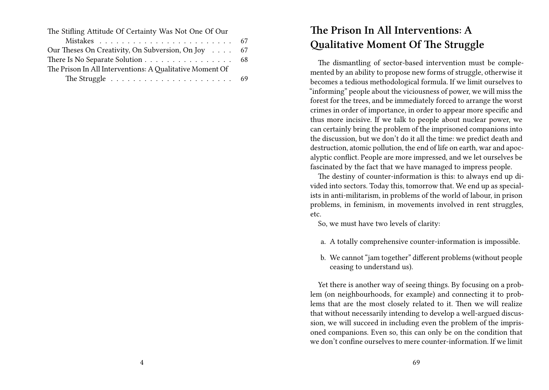| The Stifling Attitude Of Certainty Was Not One Of Our                     |  |
|---------------------------------------------------------------------------|--|
|                                                                           |  |
| Our Theses On Creativity, On Subversion, On Joy 67                        |  |
| There Is No Separate Solution 68                                          |  |
| The Prison In All Interventions: A Qualitative Moment Of                  |  |
| The Struggle $\ldots \ldots \ldots \ldots \ldots \ldots \ldots \ldots$ 69 |  |

# **The Prison In All Interventions: A Qualitative Moment Of The Struggle**

The dismantling of sector-based intervention must be complemented by an ability to propose new forms of struggle, otherwise it becomes a tedious methodological formula. If we limit ourselves to "informing" people about the viciousness of power, we will miss the forest for the trees, and be immediately forced to arrange the worst crimes in order of importance, in order to appear more specific and thus more incisive. If we talk to people about nuclear power, we can certainly bring the problem of the imprisoned companions into the discussion, but we don't do it all the time: we predict death and destruction, atomic pollution, the end of life on earth, war and apocalyptic conflict. People are more impressed, and we let ourselves be fascinated by the fact that we have managed to impress people.

The destiny of counter-information is this: to always end up divided into sectors. Today this, tomorrow that. We end up as specialists in anti-militarism, in problems of the world of labour, in prison problems, in feminism, in movements involved in rent struggles, etc.

So, we must have two levels of clarity:

- a. A totally comprehensive counter-information is impossible.
- b. We cannot "jam together" different problems (without people ceasing to understand us).

Yet there is another way of seeing things. By focusing on a problem (on neighbourhoods, for example) and connecting it to problems that are the most closely related to it. Then we will realize that without necessarily intending to develop a well-argued discussion, we will succeed in including even the problem of the imprisoned companions. Even so, this can only be on the condition that we don't confine ourselves to mere counter-information. If we limit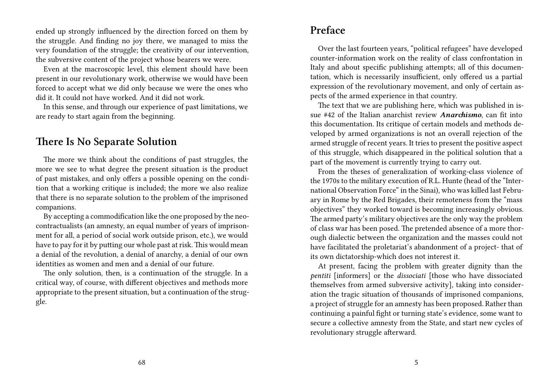ended up strongly influenced by the direction forced on them by the struggle. And finding no joy there, we managed to miss the very foundation of the struggle; the creativity of our intervention, the subversive content of the project whose bearers we were.

Even at the macroscopic level, this element should have been present in our revolutionary work, otherwise we would have been forced to accept what we did only because we were the ones who did it. It could not have worked. And it did not work.

In this sense, and through our experience of past limitations, we are ready to start again from the beginning.

#### **There Is No Separate Solution**

The more we think about the conditions of past struggles, the more we see to what degree the present situation is the product of past mistakes, and only offers a possible opening on the condition that a working critique is included; the more we also realize that there is no separate solution to the problem of the imprisoned companions.

By accepting a commodification like the one proposed by the neocontractualists (an amnesty, an equal number of years of imprisonment for all, a period of social work outside prison, etc.), we would have to pay for it by putting our whole past at risk. This would mean a denial of the revolution, a denial of anarchy, a denial of our own identities as women and men and a denial of our future.

The only solution, then, is a continuation of the struggle. In a critical way, of course, with different objectives and methods more appropriate to the present situation, but a continuation of the struggle.

#### **Preface**

Over the last fourteen years, "political refugees" have developed counter-information work on the reality of class confrontation in Italy and about specific publishing attempts; all of this documentation, which is necessarily insufficient, only offered us a partial expression of the revolutionary movement, and only of certain aspects of the armed experience in that country.

The text that we are publishing here, which was published in issue #42 of the Italian anarchist review *Anarchismo*, can fit into this documentation. Its critique of certain models and methods developed by armed organizations is not an overall rejection of the armed struggle of recent years. It tries to present the positive aspect of this struggle, which disappeared in the political solution that a part of the movement is currently trying to carry out.

From the theses of generalization of working-class violence of the 1970s to the military execution of R.L. Hunte (head of the "International Observation Force" in the Sinai), who was killed last February in Rome by the Red Brigades, their remoteness from the "mass objectives" they worked toward is becoming increasingly obvious. The armed party's military objectives are the only way the problem of class war has been posed. The pretended absence of a more thorough dialectic between the organization and the masses could not have facilitated the proletariat's abandonment of a project- that of its own dictatorship-which does not interest it.

At present, facing the problem with greater dignity than the *pentiti* [informers] or the *dissociati* [those who have dissociated themselves from armed subversive activity], taking into consideration the tragic situation of thousands of imprisoned companions, a project of struggle for an amnesty has been proposed. Rather than continuing a painful fight or turning state's evidence, some want to secure a collective amnesty from the State, and start new cycles of revolutionary struggle afterward.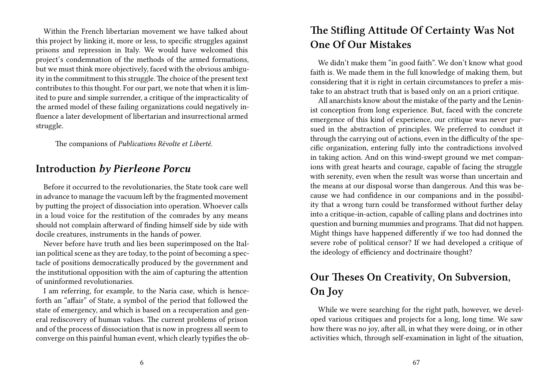Within the French libertarian movement we have talked about this project by linking it, more or less, to specific struggles against prisons and repression in Italy. We would have welcomed this project's condemnation of the methods of the armed formations, but we must think more objectively, faced with the obvious ambiguity in the commitment to this struggle.The choice of the present text contributes to this thought. For our part, we note that when it is limited to pure and simple surrender, a critique of the impracticality of the armed model of these failing organizations could negatively influence a later development of libertarian and insurrectional armed struggle.

The companions of *Publications Révolte et Liberté*.

#### **Introduction** *by Pierleone Porcu*

Before it occurred to the revolutionaries, the State took care well in advance to manage the vacuum left by the fragmented movement by putting the project of dissociation into operation. Whoever calls in a loud voice for the restitution of the comrades by any means should not complain afterward of finding himself side by side with docile creatures, instruments in the hands of power.

Never before have truth and lies been superimposed on the Italian political scene as they are today, to the point of becoming a spectacle of positions democratically produced by the government and the institutional opposition with the aim of capturing the attention of uninformed revolutionaries.

I am referring, for example, to the Naria case, which is henceforth an "affair" of State, a symbol of the period that followed the state of emergency, and which is based on a recuperation and general rediscovery of human values. The current problems of prison and of the process of dissociation that is now in progress all seem to converge on this painful human event, which clearly typifies the ob-

## **The Stifling Attitude Of Certainty Was Not One Of Our Mistakes**

We didn't make them "in good faith". We don't know what good faith is. We made them in the full knowledge of making them, but considering that it is right in certain circumstances to prefer a mistake to an abstract truth that is based only on an a priori critique.

All anarchists know about the mistake of the party and the Leninist conception from long experience. But, faced with the concrete emergence of this kind of experience, our critique was never pursued in the abstraction of principles. We preferred to conduct it through the carrying out of actions, even in the difficulty of the specific organization, entering fully into the contradictions involved in taking action. And on this wind-swept ground we met companions with great hearts and courage, capable of facing the struggle with serenity, even when the result was worse than uncertain and the means at our disposal worse than dangerous. And this was because we had confidence in our companions and in the possibility that a wrong turn could be transformed without further delay into a critique-in-action, capable of calling plans and doctrines into question and burning mummies and programs. That did not happen. Might things have happened differently if we too had donned the severe robe of political censor? If we had developed a critique of the ideology of efficiency and doctrinaire thought?

# **Our Theses On Creativity, On Subversion, On Joy**

While we were searching for the right path, however, we developed various critiques and projects for a long, long time. We saw how there was no joy, after all, in what they were doing, or in other activities which, through self-examination in light of the situation,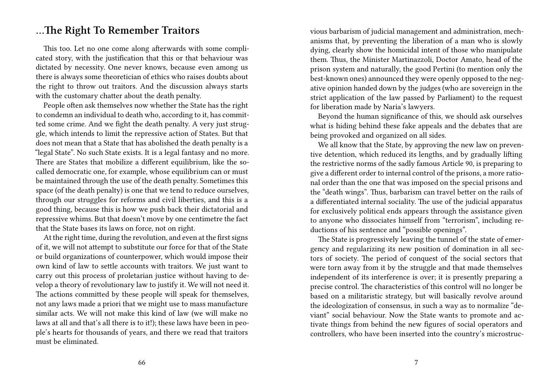#### **…The Right To Remember Traitors**

This too. Let no one come along afterwards with some complicated story, with the justification that this or that behaviour was dictated by necessity. One never knows, because even among us there is always some theoretician of ethics who raises doubts about the right to throw out traitors. And the discussion always starts with the customary chatter about the death penalty.

People often ask themselves now whether the State has the right to condemn an individual to death who, according to it, has committed some crime. And we fight the death penalty. A very just struggle, which intends to limit the repressive action of States. But that does not mean that a State that has abolished the death penalty is a "legal State". No such State exists. It is a legal fantasy and no more. There are States that mobilize a different equilibrium, like the socalled democratic one, for example, whose equilibrium can or must be maintained through the use of the death penalty. Sometimes this space (of the death penalty) is one that we tend to reduce ourselves, through our struggles for reforms and civil liberties, and this is a good thing, because this is how we push back their dictatorial and repressive whims. But that doesn't move by one centimetre the fact that the State bases its laws on force, not on right.

At the right time, during the revolution, and even at the first signs of it, we will not attempt to substitute our force for that of the State or build organizations of counterpower, which would impose their own kind of law to settle accounts with traitors. We just want to carry out this process of proletarian justice without having to develop a theory of revolutionary law to justify it. We will not need it. The actions committed by these people will speak for themselves, not any laws made a priori that we might use to mass manufacture similar acts. We will not make this kind of law (we will make no laws at all and that's all there is to it!); these laws have been in people's hearts for thousands of years, and there we read that traitors must be eliminated.

vious barbarism of judicial management and administration, mechanisms that, by preventing the liberation of a man who is slowly dying, clearly show the homicidal intent of those who manipulate them. Thus, the Minister Martinazzoli, Doctor Amato, head of the prison system and naturally, the good Pertini (to mention only the best-known ones) announced they were openly opposed to the negative opinion handed down by the judges (who are sovereign in the strict application of the law passed by Parliament) to the request for liberation made by Naria's lawyers.

Beyond the human significance of this, we should ask ourselves what is hiding behind these fake appeals and the debates that are being provoked and organized on all sides.

We all know that the State, by approving the new law on preventive detention, which reduced its lengths, and by gradually lifting the restrictive norms of the sadly famous Article 90, is preparing to give a different order to internal control of the prisons, a more rational order than the one that was imposed on the special prisons and the "death wings". Thus, barbarism can travel better on the rails of a differentiated internal sociality. The use of the judicial apparatus for exclusively political ends appears through the assistance given to anyone who dissociates himself from "terrorism", including reductions of his sentence and "possible openings".

The State is progressively leaving the tunnel of the state of emergency and regularizing its new position of domination in all sectors of society. The period of conquest of the social sectors that were torn away from it by the struggle and that made themselves independent of its interference is over; it is presently preparing a precise control. The characteristics of this control will no longer be based on a militaristic strategy, but will basically revolve around the ideologization of consensus, in such a way as to normalize "deviant" social behaviour. Now the State wants to promote and activate things from behind the new figures of social operators and controllers, who have been inserted into the country's microstruc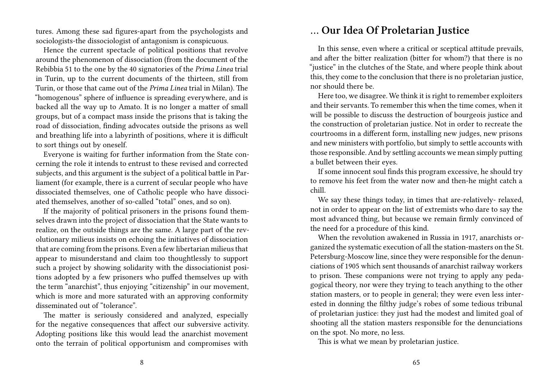tures. Among these sad figures-apart from the psychologists and sociologists-the dissociologist of antagonism is conspicuous.

Hence the current spectacle of political positions that revolve around the phenomenon of dissociation (from the document of the Rebibbia 51 to the one by the 40 signatories of the *Prima Linea* trial in Turin, up to the current documents of the thirteen, still from Turin, or those that came out of the *Prima Linea* trial in Milan). The "homogenous" sphere of influence is spreading everywhere, and is backed all the way up to Amato. It is no longer a matter of small groups, but of a compact mass inside the prisons that is taking the road of dissociation, finding advocates outside the prisons as well and breathing life into a labyrinth of positions, where it is difficult to sort things out by oneself.

Everyone is waiting for further information from the State concerning the role it intends to entrust to these revised and corrected subjects, and this argument is the subject of a political battle in Parliament (for example, there is a current of secular people who have dissociated themselves, one of Catholic people who have dissociated themselves, another of so-called "total" ones, and so on).

If the majority of political prisoners in the prisons found themselves drawn into the project of dissociation that the State wants to realize, on the outside things are the same. A large part of the revolutionary milieus insists on echoing the initiatives of dissociation that are coming from the prisons. Even a few libertarian milieus that appear to misunderstand and claim too thoughtlessly to support such a project by showing solidarity with the dissociationist positions adopted by a few prisoners who puffed themselves up with the term "anarchist", thus enjoying "citizenship" in our movement, which is more and more saturated with an approving conformity disseminated out of "tolerance".

The matter is seriously considered and analyzed, especially for the negative consequences that affect our subversive activity. Adopting positions like this would lead the anarchist movement onto the terrain of political opportunism and compromises with

## **… Our Idea Of Proletarian Justice**

In this sense, even where a critical or sceptical attitude prevails, and after the bitter realization (bitter for whom?) that there is no "justice" in the clutches of the State, and where people think about this, they come to the conclusion that there is no proletarian justice, nor should there be.

Here too, we disagree. We think it is right to remember exploiters and their servants. To remember this when the time comes, when it will be possible to discuss the destruction of bourgeois justice and the construction of proletarian justice. Not in order to recreate the courtrooms in a different form, installing new judges, new prisons and new ministers with portfolio, but simply to settle accounts with those responsible. And by settling accounts we mean simply putting a bullet between their eyes.

If some innocent soul finds this program excessive, he should try to remove his feet from the water now and then-he might catch a chill.

We say these things today, in times that are-relatively- relaxed, not in order to appear on the list of extremists who dare to say the most advanced thing, but because we remain firmly convinced of the need for a procedure of this kind.

When the revolution awakened in Russia in 1917, anarchists organized the systematic execution of all the station-masters on the St. Petersburg-Moscow line, since they were responsible for the denunciations of 1905 which sent thousands of anarchist railway workers to prison. These companions were not trying to apply any pedagogical theory, nor were they trying to teach anything to the other station masters, or to people in general; they were even less interested in donning the filthy judge's robes of some tedious tribunal of proletarian justice: they just had the modest and limited goal of shooting all the station masters responsible for the denunciations on the spot. No more, no less.

This is what we mean by proletarian justice.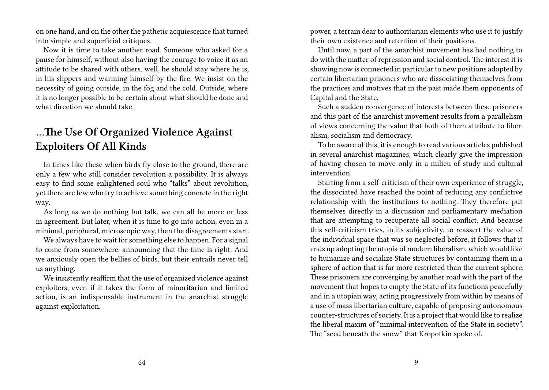on one hand, and on the other the pathetic acquiescence that turned into simple and superficial critiques.

Now it is time to take another road. Someone who asked for a pause for himself, without also having the courage to voice it as an attitude to be shared with others, well, he should stay where he is, in his slippers and warming himself by the fire. We insist on the necessity of going outside, in the fog and the cold. Outside, where it is no longer possible to be certain about what should be done and what direction we should take.

## **…The Use Of Organized Violence Against Exploiters Of All Kinds**

In times like these when birds fly close to the ground, there are only a few who still consider revolution a possibility. It is always easy to find some enlightened soul who "talks" about revolution, yet there are few who try to achieve something concrete in the right way.

As long as we do nothing but talk, we can all be more or less in agreement. But later, when it is time to go into action, even in a minimal, peripheral, microscopic way, then the disagreements start.

We always have to wait for something else to happen. For a signal to come from somewhere, announcing that the time is right. And we anxiously open the bellies of birds, but their entrails never tell us anything.

We insistently reaffirm that the use of organized violence against exploiters, even if it takes the form of minoritarian and limited action, is an indispensable instrument in the anarchist struggle against exploitation.

power, a terrain dear to authoritarian elements who use it to justify their own existence and retention of their positions.

Until now, a part of the anarchist movement has had nothing to do with the matter of repression and social control. The interest it is showing now is connected in particular to new positions adopted by certain libertarian prisoners who are dissociating themselves from the practices and motives that in the past made them opponents of Capital and the State.

Such a sudden convergence of interests between these prisoners and this part of the anarchist movement results from a parallelism of views concerning the value that both of them attribute to liberalism, socialism and democracy.

To be aware of this, it is enough to read various articles published in several anarchist magazines, which clearly give the impression of having chosen to move only in a milieu of study and cultural intervention.

Starting from a self-criticism of their own experience of struggle, the dissociated have reached the point of reducing any conflictive relationship with the institutions to nothing. They therefore put themselves directly in a discussion and parliamentary mediation that are attempting to recuperate all social conflict. And because this self-criticism tries, in its subjectivity, to reassert the value of the individual space that was so neglected before, it follows that it ends up adopting the utopia of modern liberalism, which would like to humanize and socialize State structures by containing them in a sphere of action that is far more restricted than the current sphere. These prisoners are converging by another road with the part of the movement that hopes to empty the State of its functions peacefully and in a utopian way, acting progressively from within by means of a use of mass libertarian culture, capable of proposing autonomous counter-structures of society. It is a project that would like to realize the liberal maxim of "minimal intervention of the State in society". The "seed beneath the snow" that Kropotkin spoke of.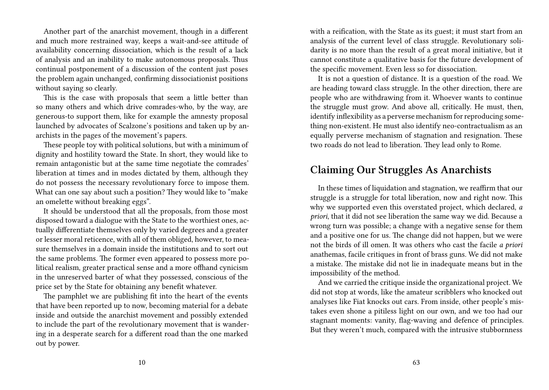Another part of the anarchist movement, though in a different and much more restrained way, keeps a wait-and-see attitude of availability concerning dissociation, which is the result of a lack of analysis and an inability to make autonomous proposals. Thus continual postponement of a discussion of the content just poses the problem again unchanged, confirming dissociationist positions without saying so clearly.

This is the case with proposals that seem a little better than so many others and which drive comrades-who, by the way, are generous-to support them, like for example the amnesty proposal launched by advocates of Scalzone's positions and taken up by anarchists in the pages of the movement's papers.

These people toy with political solutions, but with a minimum of dignity and hostility toward the State. In short, they would like to remain antagonistic but at the same time negotiate the comrades' liberation at times and in modes dictated by them, although they do not possess the necessary revolutionary force to impose them. What can one say about such a position? They would like to "make an omelette without breaking eggs".

It should be understood that all the proposals, from those most disposed toward a dialogue with the State to the worthiest ones, actually differentiate themselves only by varied degrees and a greater or lesser moral reticence, with all of them obliged, however, to measure themselves in a domain inside the institutions and to sort out the same problems. The former even appeared to possess more political realism, greater practical sense and a more offhand cynicism in the unreserved barter of what they possessed, conscious of the price set by the State for obtaining any benefit whatever.

The pamphlet we are publishing fit into the heart of the events that have been reported up to now, becoming material for a debate inside and outside the anarchist movement and possibly extended to include the part of the revolutionary movement that is wandering in a desperate search for a different road than the one marked out by power.

with a reification, with the State as its guest; it must start from an analysis of the current level of class struggle. Revolutionary solidarity is no more than the result of a great moral initiative, but it cannot constitute a qualitative basis for the future development of the specific movement. Even less so for dissociation.

It is not a question of distance. It is a question of the road. We are heading toward class struggle. In the other direction, there are people who are withdrawing from it. Whoever wants to continue the struggle must grow. And above all, critically. He must, then, identify inflexibility as a perverse mechanism for reproducing something non-existent. He must also identify neo-contractualism as an equally perverse mechanism of stagnation and resignation. These two roads do not lead to liberation. They lead only to Rome.

#### **Claiming Our Struggles As Anarchists**

In these times of liquidation and stagnation, we reaffirm that our struggle is a struggle for total liberation, now and right now. This why we supported even this overstated project, which declared, *a priori*, that it did not see liberation the same way we did. Because a wrong turn was possible; a change with a negative sense for them and a positive one for us. The change did not happen, but we were not the birds of ill omen. It was others who cast the facile *a priori* anathemas, facile critiques in front of brass guns. We did not make a mistake. The mistake did not lie in inadequate means but in the impossibility of the method.

And we carried the critique inside the organizational project. We did not stop at words, like the amateur scribblers who knocked out analyses like Fiat knocks out cars. From inside, other people's mistakes even shone a pitiless light on our own, and we too had our stagnant moments: vanity, flag-waving and defence of principles. But they weren't much, compared with the intrusive stubbornness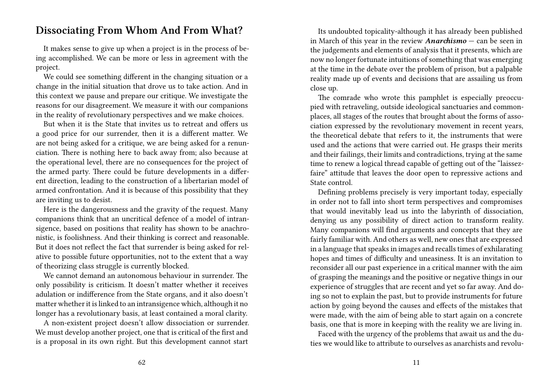### **Dissociating From Whom And From What?**

It makes sense to give up when a project is in the process of being accomplished. We can be more or less in agreement with the project.

We could see something different in the changing situation or a change in the initial situation that drove us to take action. And in this context we pause and prepare our critique. We investigate the reasons for our disagreement. We measure it with our companions in the reality of revolutionary perspectives and we make choices.

But when it is the State that invites us to retreat and offers us a good price for our surrender, then it is a different matter. We are not being asked for a critique, we are being asked for a renunciation. There is nothing here to back away from; also because at the operational level, there are no consequences for the project of the armed party. There could be future developments in a different direction, leading to the construction of a libertarian model of armed confrontation. And it is because of this possibility that they are inviting us to desist.

Here is the dangerousness and the gravity of the request. Many companions think that an uncritical defence of a model of intransigence, based on positions that reality has shown to be anachronistic, is foolishness. And their thinking is correct and reasonable. But it does not reflect the fact that surrender is being asked for relative to possible future opportunities, not to the extent that a way of theorizing class struggle is currently blocked.

We cannot demand an autonomous behaviour in surrender. The only possibility is criticism. It doesn't matter whether it receives adulation or indifference from the State organs, and it also doesn't matter whether it is linked to an intransigence which, although it no longer has a revolutionary basis, at least contained a moral clarity.

A non-existent project doesn't allow dissociation or surrender. We must develop another project, one that is critical of the first and is a proposal in its own right. But this development cannot start

Its undoubted topicality-although it has already been published in March of this year in the review *Anarchismo* — can be seen in the judgements and elements of analysis that it presents, which are now no longer fortunate intuitions of something that was emerging at the time in the debate over the problem of prison, but a palpable reality made up of events and decisions that are assailing us from close up.

The comrade who wrote this pamphlet is especially preoccupied with retraveling, outside ideological sanctuaries and commonplaces, all stages of the routes that brought about the forms of association expressed by the revolutionary movement in recent years, the theoretical debate that refers to it, the instruments that were used and the actions that were carried out. He grasps their merits and their failings, their limits and contradictions, trying at the same time to renew a logical thread capable of getting out of the "laissezfaire" attitude that leaves the door open to repressive actions and State control.

Defining problems precisely is very important today, especially in order not to fall into short term perspectives and compromises that would inevitably lead us into the labyrinth of dissociation, denying us any possibility of direct action to transform reality. Many companions will find arguments and concepts that they are fairly familiar with. And others as well, new ones that are expressed in a language that speaks in images and recalls times of exhilarating hopes and times of difficulty and uneasiness. It is an invitation to reconsider all our past experience in a critical manner with the aim of grasping the meanings and the positive or negative things in our experience of struggles that are recent and yet so far away. And doing so not to explain the past, but to provide instruments for future action by going beyond the causes and effects of the mistakes that were made, with the aim of being able to start again on a concrete basis, one that is more in keeping with the reality we are living in.

Faced with the urgency of the problems that await us and the duties we would like to attribute to ourselves as anarchists and revolu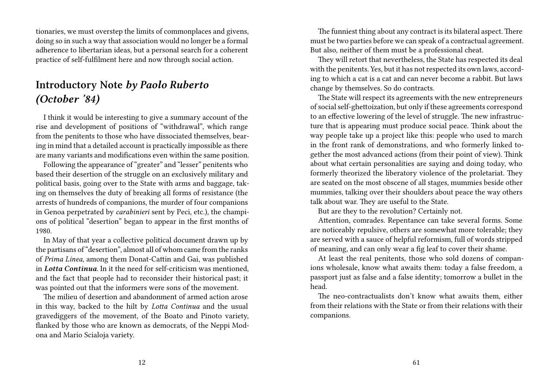tionaries, we must overstep the limits of commonplaces and givens, doing so in such a way that association would no longer be a formal adherence to libertarian ideas, but a personal search for a coherent practice of self-fulfilment here and now through social action.

# **Introductory Note** *by Paolo Ruberto (October '84)*

I think it would be interesting to give a summary account of the rise and development of positions of "withdrawal", which range from the penitents to those who have dissociated themselves, bearing in mind that a detailed account is practically impossible as there are many variants and modifications even within the same position.

Following the appearance of "greater" and "lesser" penitents who based their desertion of the struggle on an exclusively military and political basis, going over to the State with arms and baggage, taking on themselves the duty of breaking all forms of resistance (the arrests of hundreds of companions, the murder of four companions in Genoa perpetrated by *carabinieri* sent by Peci, etc.), the champions of political "desertion" began to appear in the first months of 1980.

In May of that year a collective political document drawn up by the partisans of "desertion", almost all of whom came from the ranks of *Prima Linea*, among them Donat-Cattin and Gai, was published in *Lotta Continua*. In it the need for self-criticism was mentioned, and the fact that people had to reconsider their historical past; it was pointed out that the informers were sons of the movement.

The milieu of desertion and abandonment of armed action arose in this way, backed to the hilt by *Lotta Continua* and the usual gravediggers of the movement, of the Boato and Pinoto variety, flanked by those who are known as democrats, of the Neppi Modona and Mario Scialoja variety.

The funniest thing about any contract is its bilateral aspect. There must be two parties before we can speak of a contractual agreement. But also, neither of them must be a professional cheat.

They will retort that nevertheless, the State has respected its deal with the penitents. Yes, but it has not respected its own laws, according to which a cat is a cat and can never become a rabbit. But laws change by themselves. So do contracts.

The State will respect its agreements with the new entrepreneurs of social self-ghettoization, but only if these agreements correspond to an effective lowering of the level of struggle. The new infrastructure that is appearing must produce social peace. Think about the way people take up a project like this: people who used to march in the front rank of demonstrations, and who formerly linked together the most advanced actions (from their point of view). Think about what certain personalities are saying and doing today, who formerly theorized the liberatory violence of the proletariat. They are seated on the most obscene of all stages, mummies beside other mummies, talking over their shoulders about peace the way others talk about war. They are useful to the State.

But are they to the revolution? Certainly not.

Attention, comrades. Repentance can take several forms. Some are noticeably repulsive, others are somewhat more tolerable; they are served with a sauce of helpful reformism, full of words stripped of meaning, and can only wear a fig leaf to cover their shame.

At least the real penitents, those who sold dozens of companions wholesale, know what awaits them: today a false freedom, a passport just as false and a false identity; tomorrow a bullet in the head.

The neo-contractualists don't know what awaits them, either from their relations with the State or from their relations with their companions.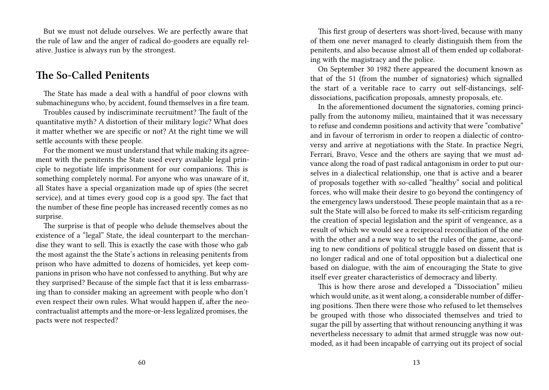But we must not delude ourselves. We are perfectly aware that the rule of law and the anger of radical do-gooders are equally relative. Justice is always run by the strongest.

#### **The So-Called Penitents**

The State has made a deal with a handful of poor clowns with submachineguns who, by accident, found themselves in a fire team.

Troubles caused by indiscriminate recruitment? The fault of the quantitative myth? A distortion of their military logic? What does it matter whether we are specific or not? At the right time we will settle accounts with these people.

For the moment we must understand that while making its agreement with the penitents the State used every available legal principle to negotiate life imprisonment for our companions. This is something completely normal. For anyone who was unaware of it, all States have a special organization made up of spies (the secret service), and at times every good cop is a good spy. The fact that the number of these fine people has increased recently comes as no surprise.

The surprise is that of people who delude themselves about the existence of a "legal" State, the ideal counterpart to the merchandise they want to sell. This is exactly the case with those who gab the most against the the State's actions in releasing penitents from prison who have admitted to dozens of homicides, yet keep companions in prison who have not confessed to anything. But why are they surprised? Because of the simple fact that it is less embarrassing than to consider making an agreement with people who don't even respect their own rules. What would happen if, after the neocontractualist attempts and the more-or-less legalized promises, the pacts were not respected?

This first group of deserters was short-lived, because with many of them one never managed to clearly distinguish them from the penitents, and also because almost all of them ended up collaborating with the magistracy and the police.

On September 30 1982 there appeared the document known as that of the 51 (from the number of signatories) which signalled the start of a veritable race to carry out self-distancings, selfdissociations, pacification proposals, amnesty proposals, etc.

In the aforementioned document the signatories, coming principally from the autonomy milieu, maintained that it was necessary to refuse and condemn positions and activity that were "combative" and in favour of terrorism in order to reopen a dialectic of controversy and arrive at negotiations with the State. In practice Negri, Ferrari, Bravo, Vesce and the others are saying that we must advance along the road of past radical antagonism in order to put ourselves in a dialectical relationship, one that is active and a bearer of proposals together with so-called "healthy" social and political forces, who will make their desire to go beyond the contingency of the emergency laws understood. These people maintain that as a result the State will also be forced to make its self-criticism regarding the creation of special legislation and the spirit of vengeance, as a result of which we would see a reciprocal reconciliation of the one with the other and a new way to set the rules of the game, according to new conditions of political struggle based on dissent that is no longer radical and one of total opposition but a dialectical one based on dialogue, with the aim of encouraging the State to give itself ever greater characteristics of democracy and liberty.

This is how there arose and developed a "Dissociation" milieu which would unite, as it went along, a considerable number of differing positions. Then there were those who refused to let themselves be grouped with those who dissociated themselves and tried to sugar the pill by asserting that without renouncing anything it was nevertheless necessary to admit that armed struggle was now outmoded, as it had been incapable of carrying out its project of social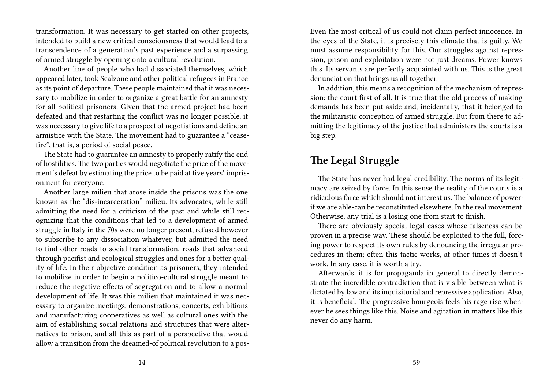transformation. It was necessary to get started on other projects, intended to build a new critical consciousness that would lead to a transcendence of a generation's past experience and a surpassing of armed struggle by opening onto a cultural revolution.

Another line of people who had dissociated themselves, which appeared later, took Scalzone and other political refugees in France as its point of departure. These people maintained that it was necessary to mobilize in order to organize a great battle for an amnesty for all political prisoners. Given that the armed project had been defeated and that restarting the conflict was no longer possible, it was necessary to give life to a prospect of negotiations and define an armistice with the State. The movement had to guarantee a "ceasefire", that is, a period of social peace.

The State had to guarantee an amnesty to properly ratify the end of hostilities. The two parties would negotiate the price of the movement's defeat by estimating the price to be paid at five years' imprisonment for everyone.

Another large milieu that arose inside the prisons was the one known as the "dis-incarceration" milieu. Its advocates, while still admitting the need for a criticism of the past and while still recognizing that the conditions that led to a development of armed struggle in Italy in the 70s were no longer present, refused however to subscribe to any dissociation whatever, but admitted the need to find other roads to social transformation, roads that advanced through pacifist and ecological struggles and ones for a better quality of life. In their objective condition as prisoners, they intended to mobilize in order to begin a politico-cultural struggle meant to reduce the negative effects of segregation and to allow a normal development of life. It was this milieu that maintained it was necessary to organize meetings, demonstrations, concerts, exhibitions and manufacturing cooperatives as well as cultural ones with the aim of establishing social relations and structures that were alternatives to prison, and all this as part of a perspective that would allow a transition from the dreamed-of political revolution to a posEven the most critical of us could not claim perfect innocence. In the eyes of the State, it is precisely this climate that is guilty. We must assume responsibility for this. Our struggles against repression, prison and exploitation were not just dreams. Power knows this. Its servants are perfectly acquainted with us. This is the great denunciation that brings us all together.

In addition, this means a recognition of the mechanism of repression: the court first of all. It is true that the old process of making demands has been put aside and, incidentally, that it belonged to the militaristic conception of armed struggle. But from there to admitting the legitimacy of the justice that administers the courts is a big step.

## **The Legal Struggle**

The State has never had legal credibility. The norms of its legitimacy are seized by force. In this sense the reality of the courts is a ridiculous farce which should not interest us. The balance of powerif we are able-can be reconstituted elsewhere. In the real movement. Otherwise, any trial is a losing one from start to finish.

There are obviously special legal cases whose falseness can be proven in a precise way. These should be exploited to the full, forcing power to respect its own rules by denouncing the irregular procedures in them; often this tactic works, at other times it doesn't work. In any case, it is worth a try.

Afterwards, it is for propaganda in general to directly demonstrate the incredible contradiction that is visible between what is dictated by law and its inquisitorial and repressive application. Also, it is beneficial. The progressive bourgeois feels his rage rise whenever he sees things like this. Noise and agitation in matters like this never do any harm.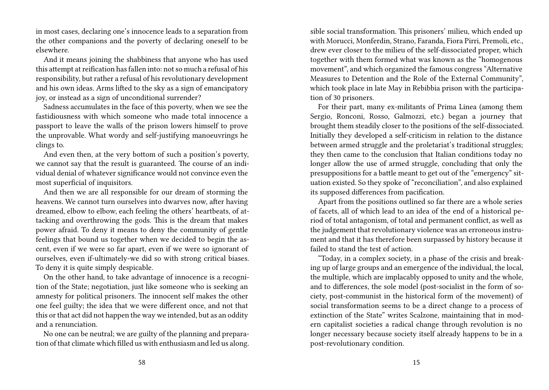in most cases, declaring one's innocence leads to a separation from the other companions and the poverty of declaring oneself to be elsewhere.

And it means joining the shabbiness that anyone who has used this attempt at reification has fallen into: not so much a refusal of his responsibility, but rather a refusal of his revolutionary development and his own ideas. Arms lifted to the sky as a sign of emancipatory joy, or instead as a sign of unconditional surrender?

Sadness accumulates in the face of this poverty, when we see the fastidiousness with which someone who made total innocence a passport to leave the walls of the prison lowers himself to prove the unprovable. What wordy and self-justifying manoeuvrings he clings to.

And even then, at the very bottom of such a position's poverty, we cannot say that the result is guaranteed. The course of an individual denial of whatever significance would not convince even the most superficial of inquisitors.

And then we are all responsible for our dream of storming the heavens. We cannot turn ourselves into dwarves now, after having dreamed, elbow to elbow, each feeling the others' heartbeats, of attacking and overthrowing the gods. This is the dream that makes power afraid. To deny it means to deny the community of gentle feelings that bound us together when we decided to begin the ascent, even if we were so far apart, even if we were so ignorant of ourselves, even if-ultimately-we did so with strong critical biases. To deny it is quite simply despicable.

On the other hand, to take advantage of innocence is a recognition of the State; negotiation, just like someone who is seeking an amnesty for political prisoners. The innocent self makes the other one feel guilty; the idea that we were different once, and not that this or that act did not happen the way we intended, but as an oddity and a renunciation.

No one can be neutral; we are guilty of the planning and preparation of that climate which filled us with enthusiasm and led us along.

sible social transformation. This prisoners' milieu, which ended up with Morucci, Monferdin, Strano, Faranda, Fiora Pirri, Premoli, etc., drew ever closer to the milieu of the self-dissociated proper, which together with them formed what was known as the "homogenous movement", and which organized the famous congress "Alternative Measures to Detention and the Role of the External Community", which took place in late May in Rebibbia prison with the participation of 30 prisoners.

For their part, many ex-militants of Prima Linea (among them Sergio, Ronconi, Rosso, Galmozzi, etc.) began a journey that brought them steadily closer to the positions of the self-dissociated. Initially they developed a self-criticism in relation to the distance between armed struggle and the proletariat's traditional struggles; they then came to the conclusion that Italian conditions today no longer allow the use of armed struggle, concluding that only the presuppositions for a battle meant to get out of the "emergency" situation existed. So they spoke of "reconciliation", and also explained its supposed differences from pacification.

Apart from the positions outlined so far there are a whole series of facets, all of which lead to an idea of the end of a historical period of total antagonism, of total and permanent conflict, as well as the judgement that revolutionary violence was an erroneous instrument and that it has therefore been surpassed by history because it failed to stand the test of action.

"Today, in a complex society, in a phase of the crisis and breaking up of large groups and an emergence of the individual, the local, the multiple, which are implacably opposed to unity and the whole, and to differences, the sole model (post-socialist in the form of society, post-communist in the historical form of the movement) of social transformation seems to be a direct change to a process of extinction of the State" writes Scalzone, maintaining that in modern capitalist societies a radical change through revolution is no longer necessary because society itself already happens to be in a post-revolutionary condition.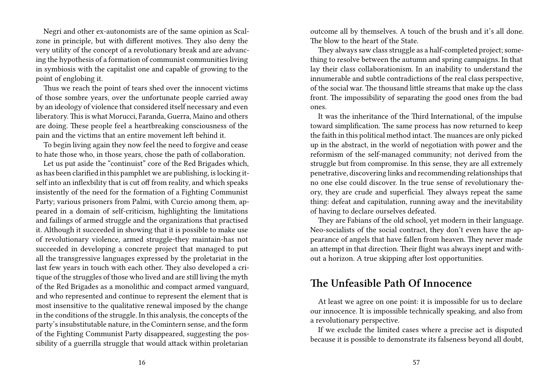Negri and other ex-autonomists are of the same opinion as Scalzone in principle, but with different motives. They also deny the very utility of the concept of a revolutionary break and are advancing the hypothesis of a formation of communist communities living in symbiosis with the capitalist one and capable of growing to the point of englobing it.

Thus we reach the point of tears shed over the innocent victims of those sombre years, over the unfortunate people carried away by an ideology of violence that considered itself necessary and even liberatory. This is what Morucci, Faranda, Guerra, Maino and others are doing. These people feel a heartbreaking consciousness of the pain and the victims that an entire movement left behind it.

To begin living again they now feel the need to forgive and cease to hate those who, in those years, chose the path of collaboration.

Let us put aside the "continuist" core of the Red Brigades which, as has been clarified in this pamphlet we are publishing, is locking itself into an inflexbility that is cut off from reality, and which speaks insistently of the need for the formation of a Fighting Communist Party; various prisoners from Palmi, with Curcio among them, appeared in a domain of self-criticism, highlighting the limitations and failings of armed struggle and the organizations that practised it. Although it succeeded in showing that it is possible to make use of revolutionary violence, armed struggle-they maintain-has not succeeded in developing a concrete project that managed to put all the transgressive languages expressed by the proletariat in the last few years in touch with each other. They also developed a critique of the struggles of those who lived and are still living the myth of the Red Brigades as a monolithic and compact armed vanguard, and who represented and continue to represent the element that is most insensitive to the qualitative renewal imposed by the change in the conditions of the struggle. In this analysis, the concepts of the party's insubstitutable nature, in the Comintern sense, and the form of the Fighting Communist Party disappeared, suggesting the possibility of a guerrilla struggle that would attack within proletarian

outcome all by themselves. A touch of the brush and it's all done. The blow to the heart of the State.

They always saw class struggle as a half-completed project; something to resolve between the autumn and spring campaigns. In that lay their class collaborationism. In an inability to understand the innumerable and subtle contradictions of the real class perspective, of the social war. The thousand little streams that make up the class front. The impossibility of separating the good ones from the bad ones.

It was the inheritance of the Third International, of the impulse toward simplification. The same process has now returned to keep the faith in this political method intact. The nuances are only picked up in the abstract, in the world of negotiation with power and the reformism of the self-managed community; not derived from the struggle but from compromise. In this sense, they are all extremely penetrative, discovering links and recommending relationships that no one else could discover. In the true sense of revolutionary theory, they are crude and superficial. They always repeat the same thing: defeat and capitulation, running away and the inevitability of having to declare ourselves defeated.

They are Fabians of the old school, yet modern in their language. Neo-socialists of the social contract, they don't even have the appearance of angels that have fallen from heaven. They never made an attempt in that direction. Their flight was always inept and without a horizon. A true skipping after lost opportunities.

## **The Unfeasible Path Of Innocence**

At least we agree on one point: it is impossible for us to declare our innocence. It is impossible technically speaking, and also from a revolutionary perspective.

If we exclude the limited cases where a precise act is disputed because it is possible to demonstrate its falseness beyond all doubt,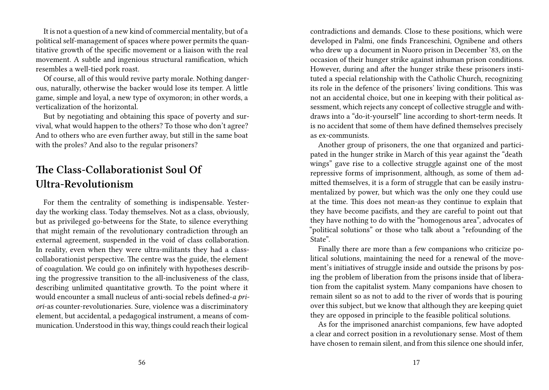It is not a question of a new kind of commercial mentality, but of a political self-management of spaces where power permits the quantitative growth of the specific movement or a liaison with the real movement. A subtle and ingenious structural ramification, which resembles a well-tied pork roast.

Of course, all of this would revive party morale. Nothing dangerous, naturally, otherwise the backer would lose its temper. A little game, simple and loyal, a new type of oxymoron; in other words, a verticalization of the horizontal.

But by negotiating and obtaining this space of poverty and survival, what would happen to the others? To those who don't agree? And to others who are even further away, but still in the same boat with the proles? And also to the regular prisoners?

# **The Class-Collaborationist Soul Of Ultra-Revolutionism**

For them the centrality of something is indispensable. Yesterday the working class. Today themselves. Not as a class, obviously, but as privileged go-betweens for the State, to silence everything that might remain of the revolutionary contradiction through an external agreement, suspended in the void of class collaboration. In reality, even when they were ultra-militants they had a classcollaborationist perspective. The centre was the guide, the element of coagulation. We could go on infinitely with hypotheses describing the progressive transition to the all-inclusiveness of the class, describing unlimited quantitative growth. To the point where it would encounter a small nucleus of anti-social rebels defined-*a priori*-as counter-revolutionaries. Sure, violence was a discriminatory element, but accidental, a pedagogical instrument, a means of communication. Understood in this way, things could reach their logical

contradictions and demands. Close to these positions, which were developed in Palmi, one finds Franceschini, Ognibene and others who drew up a document in Nuoro prison in December '83, on the occasion of their hunger strike against inhuman prison conditions. However, during and after the hunger strike these prisoners instituted a special relationship with the Catholic Church, recognizing its role in the defence of the prisoners' living conditions. This was not an accidental choice, but one in keeping with their political assessment, which rejects any concept of collective struggle and withdraws into a "do-it-yourself" line according to short-term needs. It is no accident that some of them have defined themselves precisely as ex-communists.

Another group of prisoners, the one that organized and participated in the hunger strike in March of this year against the "death wings" gave rise to a collective struggle against one of the most repressive forms of imprisonment, although, as some of them admitted themselves, it is a form of struggle that can be easily instrumentalized by power, but which was the only one they could use at the time. This does not mean-as they continue to explain that they have become pacifists, and they are careful to point out that they have nothing to do with the "homogenous area", advocates of "political solutions" or those who talk about a "refounding of the State".

Finally there are more than a few companions who criticize political solutions, maintaining the need for a renewal of the movement's initiatives of struggle inside and outside the prisons by posing the problem of liberation from the prisons inside that of liberation from the capitalist system. Many companions have chosen to remain silent so as not to add to the river of words that is pouring over this subject, but we know that although they are keeping quiet they are opposed in principle to the feasible political solutions.

As for the imprisoned anarchist companions, few have adopted a clear and correct position in a revolutionary sense. Most of them have chosen to remain silent, and from this silence one should infer,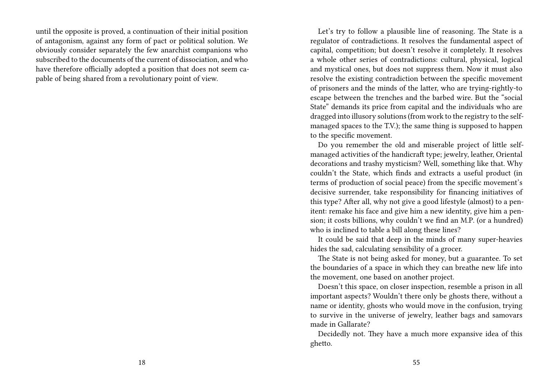until the opposite is proved, a continuation of their initial position of antagonism, against any form of pact or political solution. We obviously consider separately the few anarchist companions who subscribed to the documents of the current of dissociation, and who have therefore officially adopted a position that does not seem capable of being shared from a revolutionary point of view.

Let's try to follow a plausible line of reasoning. The State is a regulator of contradictions. It resolves the fundamental aspect of capital, competition; but doesn't resolve it completely. It resolves a whole other series of contradictions: cultural, physical, logical and mystical ones, but does not suppress them. Now it must also resolve the existing contradiction between the specific movement of prisoners and the minds of the latter, who are trying-rightly-to escape between the trenches and the barbed wire. But the "social State" demands its price from capital and the individuals who are dragged into illusory solutions (from work to the registry to the selfmanaged spaces to the T.V.); the same thing is supposed to happen to the specific movement.

Do you remember the old and miserable project of little selfmanaged activities of the handicraft type; jewelry, leather, Oriental decorations and trashy mysticism? Well, something like that. Why couldn't the State, which finds and extracts a useful product (in terms of production of social peace) from the specific movement's decisive surrender, take responsibility for financing initiatives of this type? After all, why not give a good lifestyle (almost) to a penitent: remake his face and give him a new identity, give him a pension; it costs billions, why couldn't we find an M.P. (or a hundred) who is inclined to table a bill along these lines?

It could be said that deep in the minds of many super-heavies hides the sad, calculating sensibility of a grocer.

The State is not being asked for money, but a guarantee. To set the boundaries of a space in which they can breathe new life into the movement, one based on another project.

Doesn't this space, on closer inspection, resemble a prison in all important aspects? Wouldn't there only be ghosts there, without a name or identity, ghosts who would move in the confusion, trying to survive in the universe of jewelry, leather bags and samovars made in Gallarate?

Decidedly not. They have a much more expansive idea of this ghetto.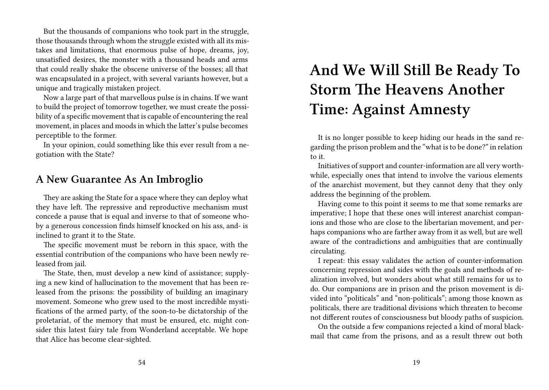But the thousands of companions who took part in the struggle, those thousands through whom the struggle existed with all its mistakes and limitations, that enormous pulse of hope, dreams, joy, unsatisfied desires, the monster with a thousand heads and arms that could really shake the obscene universe of the bosses; all that was encapsulated in a project, with several variants however, but a unique and tragically mistaken project.

Now a large part of that marvellous pulse is in chains. If we want to build the project of tomorrow together, we must create the possibility of a specific movement that is capable of encountering the real movement, in places and moods in which the latter's pulse becomes perceptible to the former.

In your opinion, could something like this ever result from a negotiation with the State?

#### **A New Guarantee As An Imbroglio**

They are asking the State for a space where they can deploy what they have left. The repressive and reproductive mechanism must concede a pause that is equal and inverse to that of someone whoby a generous concession finds himself knocked on his ass, and- is inclined to grant it to the State.

The specific movement must be reborn in this space, with the essential contribution of the companions who have been newly released from jail.

The State, then, must develop a new kind of assistance; supplying a new kind of hallucination to the movement that has been released from the prisons: the possibility of building an imaginary movement. Someone who grew used to the most incredible mystifications of the armed party, of the soon-to-be dictatorship of the proletariat, of the memory that must be ensured, etc. might consider this latest fairy tale from Wonderland acceptable. We hope that Alice has become clear-sighted.

# **And We Will Still Be Ready To Storm The Heavens Another Time: Against Amnesty**

It is no longer possible to keep hiding our heads in the sand regarding the prison problem and the "what is to be done?" in relation to it.

Initiatives of support and counter-information are all very worthwhile, especially ones that intend to involve the various elements of the anarchist movement, but they cannot deny that they only address the beginning of the problem.

Having come to this point it seems to me that some remarks are imperative; I hope that these ones will interest anarchist companions and those who are close to the libertarian movement, and perhaps companions who are farther away from it as well, but are well aware of the contradictions and ambiguities that are continually circulating.

I repeat: this essay validates the action of counter-information concerning repression and sides with the goals and methods of realization involved, but wonders about what still remains for us to do. Our companions are in prison and the prison movement is divided into "politicals" and "non-politicals"; among those known as politicals, there are traditional divisions which threaten to become not different routes of consciousness but bloody paths of suspicion.

On the outside a few companions rejected a kind of moral blackmail that came from the prisons, and as a result threw out both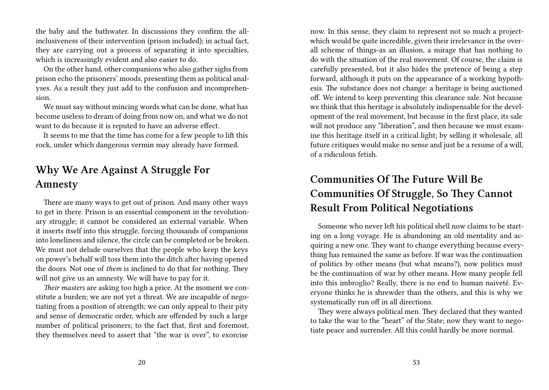the baby and the bathwater. In discussions they confirm the allinclusiveness of their intervention (prison included); in actual fact, they are carrying out a process of separating it into specialties, which is increasingly evident and also easier to do.

On the other hand, other companions who also gather sighs from prison echo the prisoners' moods, presenting them as political analyses. As a result they just add to the confusion and incomprehension.

We must say without mincing words what can be done, what has become useless to dream of doing from now on, and what we do not want to do because it is reputed to have an adverse effect.

It seems to me that the time has come for a few people to lift this rock, under which dangerous vermin may already have formed.

# **Why We Are Against A Struggle For Amnesty**

There are many ways to get out of prison. And many other ways to get in there. Prison is an essential component in the revolutionary struggle; it cannot be considered an external variable. When it inserts itself into this struggle, forcing thousands of companions into loneliness and silence, the circle can be completed or be broken. We must not delude ourselves that the people who keep the keys on power's behalf will toss them into the ditch after having opened the doors. Not one of *them* is inclined to do that for nothing. They will not give us an amnesty. We will have to pay for it.

*Their masters* are asking too high a price. At the moment we constitute a burden; we are not yet a threat. We are incapable of negotiating from a position of strength; we can only appeal to their pity and sense of democratic order, which are offended by such a large number of political prisoners; to the fact that, first and foremost, they themselves need to assert that "the war is over", to exorcise

now. In this sense, they claim to represent not so much a projectwhich would be quite incredible, given their irrelevance in the overall scheme of things-as an illusion, a mirage that has nothing to do with the situation of the real movement. Of course, the claim is carefully presented, but it also hides the pretence of being a step forward, although it puts on the appearance of a working hypothesis. The substance does not change: a heritage is being auctioned off. We intend to keep preventing this clearance sale. Not because we think that this heritage is absolutely indispensable for the development of the real movement, but because in the first place, its sale will not produce any "liberation", and then because we must examine this heritage itself in a critical light; by selling it wholesale, all future critiques would make no sense and just be a resume of a will, of a ridiculous fetish.

# **Communities Of The Future Will Be Communities Of Struggle, So They Cannot Result From Political Negotiations**

Someone who never left his political shell now claims to be starting on a long voyage. He is abandoning an old mentality and acquiring a new one. They want to change everything because everything has remained the same as before. If war was the continuation of politics by other means (but what means?), now politics must be the continuation of war by other means. How many people fell into this imbroglio? Really, there is no end to human naiveté. Everyone thinks he is shrewder than the others, and this is why we systematically run off in all directions.

They were always political men. They declared that they wanted to take the war to the "heart" of the State; now they want to negotiate peace and surrender. All this could hardly be more normal.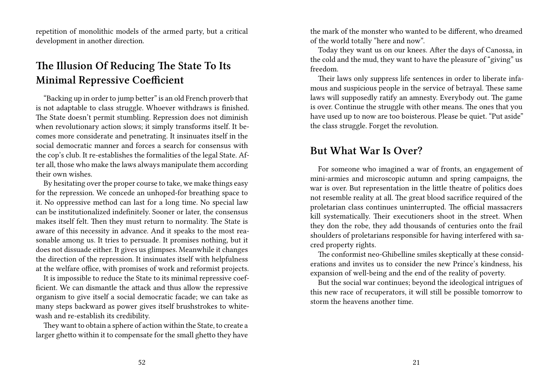repetition of monolithic models of the armed party, but a critical development in another direction.

# **The Illusion Of Reducing The State To Its Minimal Repressive Coefficient**

"Backing up in order to jump better" is an old French proverb that is not adaptable to class struggle. Whoever withdraws is finished. The State doesn't permit stumbling. Repression does not diminish when revolutionary action slows; it simply transforms itself. It becomes more considerate and penetrating. It insinuates itself in the social democratic manner and forces a search for consensus with the cop's club. It re-establishes the formalities of the legal State. After all, those who make the laws always manipulate them according their own wishes.

By hesitating over the proper course to take, we make things easy for the repression. We concede an unhoped-for breathing space to it. No oppressive method can last for a long time. No special law can be institutionalized indefinitely. Sooner or later, the consensus makes itself felt. Then they must return to normality. The State is aware of this necessity in advance. And it speaks to the most reasonable among us. It tries to persuade. It promises nothing, but it does not dissuade either. It gives us glimpses. Meanwhile it changes the direction of the repression. It insinuates itself with helpfulness at the welfare office, with promises of work and reformist projects.

It is impossible to reduce the State to its minimal repressive coefficient. We can dismantle the attack and thus allow the repressive organism to give itself a social democratic facade; we can take as many steps backward as power gives itself brushstrokes to whitewash and re-establish its credibility.

They want to obtain a sphere of action within the State, to create a larger ghetto within it to compensate for the small ghetto they have

the mark of the monster who wanted to be different, who dreamed of the world totally "here and now".

Today they want us on our knees. After the days of Canossa, in the cold and the mud, they want to have the pleasure of "giving" us freedom.

Their laws only suppress life sentences in order to liberate infamous and suspicious people in the service of betrayal. These same laws will supposedly ratify an amnesty. Everybody out. The game is over. Continue the struggle with other means. The ones that you have used up to now are too boisterous. Please be quiet. "Put aside" the class struggle. Forget the revolution.

#### **But What War Is Over?**

For someone who imagined a war of fronts, an engagement of mini-armies and microscopic autumn and spring campaigns, the war is over. But representation in the little theatre of politics does not resemble reality at all. The great blood sacrifice required of the proletarian class continues uninterrupted. The official massacrers kill systematically. Their executioners shoot in the street. When they don the robe, they add thousands of centuries onto the frail shoulders of proletarians responsible for having interfered with sacred property rights.

The conformist neo-Ghibelline smiles skeptically at these considerations and invites us to consider the new Prince's kindness, his expansion of well-being and the end of the reality of poverty.

But the social war continues; beyond the ideological intrigues of this new race of recuperators, it will still be possible tomorrow to storm the heavens another time.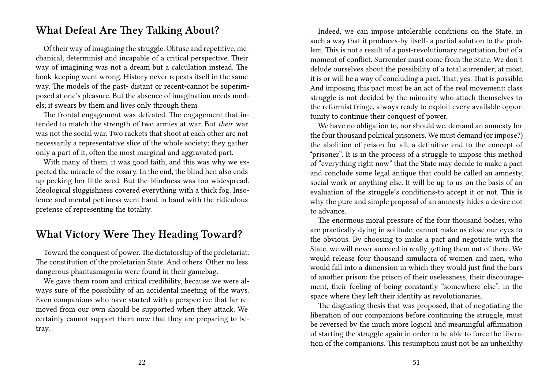## **What Defeat Are They Talking About?**

Of their way of imagining the struggle. Obtuse and repetitive, mechanical, determinist and incapable of a critical perspective. Their way of imagining was not a dream but a calculation instead. The book-keeping went wrong. History never repeats itself in the same way. The models of the past- distant or recent-cannot be superimposed at one's pleasure. But the absence of imagination needs models; it swears by them and lives only through them.

The frontal engagement was defeated. The engagement that intended to match the strength of two armies at war. But *their* war was not the social war. Two rackets that shoot at each other are not necessarily a representative slice of the whole society; they gather only a part of it, often the most marginal and aggravated part.

With many of them, it was good faith, and this was why we expected the miracle of the rosary. In the end, the blind hen also ends up pecking her little seed. But the blindness was too widespread. Ideological sluggishness covered everything with a thick fog. Insolence and mental pettiness went hand in hand with the ridiculous pretense of representing the totality.

## **What Victory Were They Heading Toward?**

Toward the conquest of power. The dictatorship of the proletariat. The constitution of the proletarian State. And others. Other no less dangerous phantasmagoria were found in their gamebag.

We gave them room and critical credibility, because we were always sure of the possibility of an accidental meeting of the ways. Even companions who have started with a perspective that far removed from our own should be supported when they attack. We certainly cannot support them now that they are preparing to betray.

Indeed, we can impose intolerable conditions on the State, in such a way that it produces-by itself- a partial solution to the problem. This is not a result of a post-revolutionary negotiation, but of a moment of conflict. Surrender must come from the State. We don't delude ourselves about the possibility of a total surrender; at most, it is or will be a way of concluding a pact. That, yes. That is possible. And imposing this pact must be an act of the real movement: class struggle is not decided by the minority who attach themselves to the reformist fringe, always ready to exploit every available opportunity to continue their conquest of power.

We have no obligation to, nor should we, demand an amnesty for the four thousand political prisoners. We must demand (or impose?) the abolition of prison for all, a definitive end to the concept of "prisoner". It is in the process of a struggle to impose this method of "everything right now" that the State may decide to make a pact and conclude some legal antique that could be called an amnesty, social work or anything else. It will be up to us-on the basis of an evaluation of the struggle's conditions-to accept it or not. This is why the pure and simple proposal of an amnesty hides a desire not to advance.

The enormous moral pressure of the four thousand bodies, who are practically dying in solitude, cannot make us close our eyes to the obvious. By choosing to make a pact and negotiate with the State, we will never succeed in really getting them out of there. We would release four thousand simulacra of women and men, who would fall into a dimension in which they would just find the bars of another prison: the prison of their uselessness, their discouragement, their feeling of being constantly "somewhere else", in the space where they left their identity as revolutionaries.

The disgusting thesis that was proposed, that of negotiating the liberation of our companions before continuing the struggle, must be reversed by the much more logical and meaningful affirmation of starting the struggle again in order to be able to force the liberation of the companions. This resumption must not be an unhealthy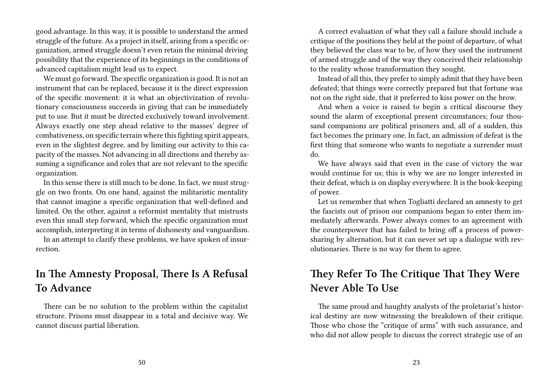good advantage. In this way, it is possible to understand the armed struggle of the future. As a project in itself, arising from a specific organization, armed struggle doesn't even retain the minimal driving possibility that the experience of its beginnings in the conditions of advanced capitalism might lead us to expect.

We must go forward. The specific organization is good. It is not an instrument that can be replaced, because it is the direct expression of the specific movement: it is what an objectivization of revolutionary consciousness succeeds in giving that can be immediately put to use. But it must be directed exclusively toward involvement. Always exactly one step ahead relative to the masses' degree of combativeness, on specific terrain where this fighting spirit appears, even in the slightest degree, and by limiting our activity to this capacity of the masses. Not advancing in all directions and thereby assuming a significance and roles that are not relevant to the specific organization.

In this sense there is still much to be done. In fact, we must struggle on two fronts. On one hand, against the militaristic mentality that cannot imagine a specific organization that well-defined and limited. On the other, against a reformist mentality that mistrusts even this small step forward, which the specific organization must accomplish, interpreting it in terms of dishonesty and vanguardism.

In an attempt to clarify these problems, we have spoken of insurrection.

## **In The Amnesty Proposal, There Is A Refusal To Advance**

There can be no solution to the problem within the capitalist structure. Prisons must disappear in a total and decisive way. We cannot discuss partial liberation.

A correct evaluation of what they call a failure should include a critique of the positions they held at the point of departure, of what they believed the class war to be, of how they used the instrument of armed struggle and of the way they conceived their relationship to the reality whose transformation they sought.

Instead of all this, they prefer to simply admit that they have been defeated; that things were correctly prepared but that fortune was not on the right side, that it preferred to kiss power on the brow.

And when a voice is raised to begin a critical discourse they sound the alarm of exceptional present circumstances; four thousand companions are political prisoners and, all of a sudden, this fact becomes the primary one. In fact, an admission of defeat is the first thing that someone who wants to negotiate a surrender must do.

We have always said that even in the case of victory the war would continue for us; this is why we are no longer interested in their defeat, which is on display everywhere. It is the book-keeping of power.

Let us remember that when Togliatti declared an amnesty to get the fascists out of prison our companions began to enter them immediately afterwards. Power always comes to an agreement with the counterpower that has failed to bring off a process of powersharing by alternation, but it can never set up a dialogue with revolutionaries. There is no way for them to agree.

## **They Refer To The Critique That They Were Never Able To Use**

The same proud and haughty analysts of the proletariat's historical destiny are now witnessing the breakdown of their critique. Those who chose the "critique of arms" with such assurance, and who did not allow people to discuss the correct strategic use of an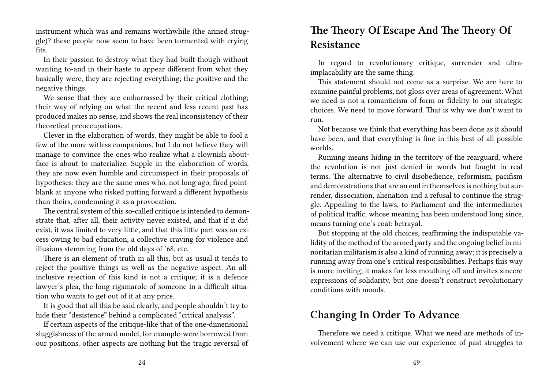instrument which was and remains worthwhile (the armed struggle)? these people now seem to have been tormented with crying fits.

In their passion to destroy what they had built-though without wanting to-and in their haste to appear different from what they basically were, they are rejecting everything; the positive and the negative things.

We sense that they are embarrassed by their critical clothing; their way of relying on what the recent and less recent past has produced makes no sense, and shows the real inconsistency of their theoretical preoccupations.

Clever in the elaboration of words, they might be able to fool a few of the more witless companions, but I do not believe they will manage to convince the ones who realize what a clownish aboutface is about to materialize. Supple in the elaboration of words, they are now even humble and circumspect in their proposals of hypotheses: they are the same ones who, not long ago, fired pointblank at anyone who risked putting forward a different hypothesis than theirs, condemning it as a provocation.

The central system of this so-called critique is intended to demonstrate that, after all, their activity never existed, and that if it did exist, it was limited to very little, and that this little part was an excess owing to bad education, a collective craving for violence and illusions stemming from the old days of '68, etc.

There is an element of truth in all this, but as usual it tends to reject the positive things as well as the negative aspect. An allinclusive rejection of this kind is not a critique; it is a defence lawyer's plea, the long rigamarole of someone in a difficult situation who wants to get out of it at any price.

It is good that all this be said clearly, and people shouldn't try to hide their "desistence" behind a complicated "critical analysis".

If certain aspects of the critique-like that of the one-dimensional sluggishness of the armed model, for example-were borrowed from our positions, other aspects are nothing but the tragic reversal of

# **The Theory Of Escape And The Theory Of Resistance**

In regard to revolutionary critique, surrender and ultraimplacability are the same thing.

This statement should not come as a surprise. We are here to examine painful problems, not gloss over areas of agreement. What we need is not a romanticism of form or fidelity to our strategic choices. We need to move forward. That is why we don't want to run.

Not because we think that everything has been done as it should have been, and that everything is fine in this best of all possible worlds.

Running means hiding in the territory of the rearguard, where the revolution is not just denied in words but fought in real terms. The alternative to civil disobedience, reformism, pacifism and demonstrations that are an end in themselves is nothing but surrender, dissociation, alienation and a refusal to continue the struggle. Appealing to the laws, to Parliament and the intermediaries of political traffic, whose meaning has been understood long since, means turning one's coat: betrayal.

But stopping at the old choices, reaffirming the indisputable validity of the method of the armed party and the ongoing belief in minoritarian militarism is also a kind of running away; it is precisely a running away from one's critical responsibilities. Perhaps this way is more inviting; it makes for less mouthing off and invites sincere expressions of solidarity, but one doesn't construct revolutionary conditions with moods.

## **Changing In Order To Advance**

Therefore we need a critique. What we need are methods of involvement where we can use our experience of past struggles to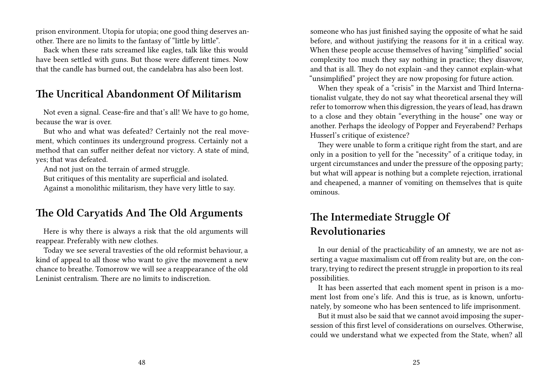prison environment. Utopia for utopia; one good thing deserves another. There are no limits to the fantasy of "little by little".

Back when these rats screamed like eagles, talk like this would have been settled with guns. But those were different times. Now that the candle has burned out, the candelabra has also been lost.

## **The Uncritical Abandonment Of Militarism**

Not even a signal. Cease-fire and that's all! We have to go home, because the war is over.

But who and what was defeated? Certainly not the real movement, which continues its underground progress. Certainly not a method that can suffer neither defeat nor victory. A state of mind, yes; that was defeated.

And not just on the terrain of armed struggle.

But critiques of this mentality are superficial and isolated.

Against a monolithic militarism, they have very little to say.

## **The Old Caryatids And The Old Arguments**

Here is why there is always a risk that the old arguments will reappear. Preferably with new clothes.

Today we see several travesties of the old reformist behaviour, a kind of appeal to all those who want to give the movement a new chance to breathe. Tomorrow we will see a reappearance of the old Leninist centralism. There are no limits to indiscretion.

someone who has just finished saying the opposite of what he said before, and without justifying the reasons for it in a critical way. When these people accuse themselves of having "simplified" social complexity too much they say nothing in practice; they disavow, and that is all. They do not explain -and they cannot explain-what "unsimplified" project they are now proposing for future action.

When they speak of a "crisis" in the Marxist and Third Internationalist vulgate, they do not say what theoretical arsenal they will refer to tomorrow when this digression, the years of lead, has drawn to a close and they obtain "everything in the house" one way or another. Perhaps the ideology of Popper and Feyerabend? Perhaps Husserl's critique of existence?

They were unable to form a critique right from the start, and are only in a position to yell for the "necessity" of a critique today, in urgent circumstances and under the pressure of the opposing party; but what will appear is nothing but a complete rejection, irrational and cheapened, a manner of vomiting on themselves that is quite ominous.

# **The Intermediate Struggle Of Revolutionaries**

In our denial of the practicability of an amnesty, we are not asserting a vague maximalism cut off from reality but are, on the contrary, trying to redirect the present struggle in proportion to its real possibilities.

It has been asserted that each moment spent in prison is a moment lost from one's life. And this is true, as is known, unfortunately, by someone who has been sentenced to life imprisonment.

But it must also be said that we cannot avoid imposing the supersession of this first level of considerations on ourselves. Otherwise, could we understand what we expected from the State, when? all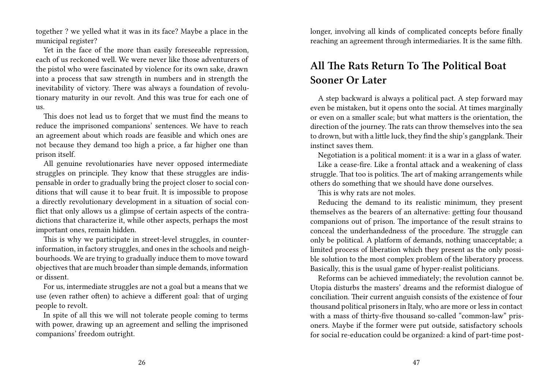together ? we yelled what it was in its face? Maybe a place in the municipal register?

Yet in the face of the more than easily foreseeable repression, each of us reckoned well. We were never like those adventurers of the pistol who were fascinated by violence for its own sake, drawn into a process that saw strength in numbers and in strength the inevitability of victory. There was always a foundation of revolutionary maturity in our revolt. And this was true for each one of us.

This does not lead us to forget that we must find the means to reduce the imprisoned companions' sentences. We have to reach an agreement about which roads are feasible and which ones are not because they demand too high a price, a far higher one than prison itself.

All genuine revolutionaries have never opposed intermediate struggles on principle. They know that these struggles are indispensable in order to gradually bring the project closer to social conditions that will cause it to bear fruit. It is impossible to propose a directly revolutionary development in a situation of social conflict that only allows us a glimpse of certain aspects of the contradictions that characterize it, while other aspects, perhaps the most important ones, remain hidden.

This is why we participate in street-level struggles, in counterinformation, in factory struggles, and ones in the schools and neighbourhoods. We are trying to gradually induce them to move toward objectives that are much broader than simple demands, information or dissent.

For us, intermediate struggles are not a goal but a means that we use (even rather often) to achieve a different goal: that of urging people to revolt.

In spite of all this we will not tolerate people coming to terms with power, drawing up an agreement and selling the imprisoned companions' freedom outright.

longer, involving all kinds of complicated concepts before finally reaching an agreement through intermediaries. It is the same filth.

# **All The Rats Return To The Political Boat Sooner Or Later**

A step backward is always a political pact. A step forward may even be mistaken, but it opens onto the social. At times marginally or even on a smaller scale; but what matters is the orientation, the direction of the journey. The rats can throw themselves into the sea to drown, but with a little luck, they find the ship's gangplank. Their instinct saves them.

Negotiation is a political moment: it is a war in a glass of water.

Like a cease-fire. Like a frontal attack and a weakening of class struggle. That too is politics. The art of making arrangements while others do something that we should have done ourselves.

This is why rats are not moles.

Reducing the demand to its realistic minimum, they present themselves as the bearers of an alternative: getting four thousand companions out of prison. The importance of the result strains to conceal the underhandedness of the procedure. The struggle can only be political. A platform of demands, nothing unacceptable; a limited process of liberation which they present as the only possible solution to the most complex problem of the liberatory process. Basically, this is the usual game of hyper-realist politicians.

Reforms can be achieved immediately; the revolution cannot be. Utopia disturbs the masters' dreams and the reformist dialogue of conciliation. Their current anguish consists of the existence of four thousand political prisoners in Italy, who are more or less in contact with a mass of thirty-five thousand so-called "common-law" prisoners. Maybe if the former were put outside, satisfactory schools for social re-education could be organized: a kind of part-time post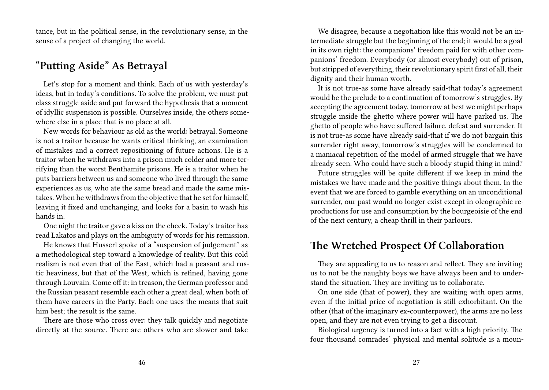tance, but in the political sense, in the revolutionary sense, in the sense of a project of changing the world.

#### **"Putting Aside" As Betrayal**

Let's stop for a moment and think. Each of us with yesterday's ideas, but in today's conditions. To solve the problem, we must put class struggle aside and put forward the hypothesis that a moment of idyllic suspension is possible. Ourselves inside, the others somewhere else in a place that is no place at all.

New words for behaviour as old as the world: betrayal. Someone is not a traitor because he wants critical thinking, an examination of mistakes and a correct repositioning of future actions. He is a traitor when he withdraws into a prison much colder and more terrifying than the worst Benthamite prisons. He is a traitor when he puts barriers between us and someone who lived through the same experiences as us, who ate the same bread and made the same mistakes. When he withdraws from the objective that he set for himself, leaving it fixed and unchanging, and looks for a basin to wash his hands in.

One night the traitor gave a kiss on the cheek. Today's traitor has read Lakatos and plays on the ambiguity of words for his remission.

He knows that Husserl spoke of a "suspension of judgement" as a methodological step toward a knowledge of reality. But this cold realism is not even that of the East, which had a peasant and rustic heaviness, but that of the West, which is refined, having gone through Louvain. Come off it: in treason, the German professor and the Russian peasant resemble each other a great deal, when both of them have careers in the Party. Each one uses the means that suit him best; the result is the same.

There are those who cross over: they talk quickly and negotiate directly at the source. There are others who are slower and take

We disagree, because a negotiation like this would not be an intermediate struggle but the beginning of the end; it would be a goal in its own right: the companions' freedom paid for with other companions' freedom. Everybody (or almost everybody) out of prison, but stripped of everything, their revolutionary spirit first of all, their dignity and their human worth.

It is not true-as some have already said-that today's agreement would be the prelude to a continuation of tomorrow's struggles. By accepting the agreement today, tomorrow at best we might perhaps struggle inside the ghetto where power will have parked us. The ghetto of people who have suffered failure, defeat and surrender. It is not true-as some have already said-that if we do not bargain this surrender right away, tomorrow's struggles will be condemned to a maniacal repetition of the model of armed struggle that we have already seen. Who could have such a bloody stupid thing in mind?

Future struggles will be quite different if we keep in mind the mistakes we have made and the positive things about them. In the event that we are forced to gamble everything on an unconditional surrender, our past would no longer exist except in oleographic reproductions for use and consumption by the bourgeoisie of the end of the next century, a cheap thrill in their parlours.

#### **The Wretched Prospect Of Collaboration**

They are appealing to us to reason and reflect. They are inviting us to not be the naughty boys we have always been and to understand the situation. They are inviting us to collaborate.

On one side (that of power), they are waiting with open arms, even if the initial price of negotiation is still exhorbitant. On the other (that of the imaginary ex-counterpower), the arms are no less open, and they are not even trying to get a discount.

Biological urgency is turned into a fact with a high priority. The four thousand comrades' physical and mental solitude is a moun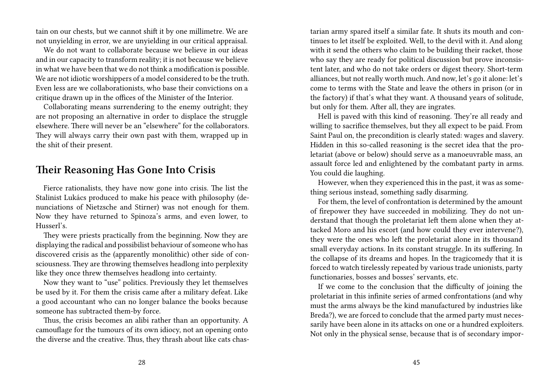tain on our chests, but we cannot shift it by one millimetre. We are not unyielding in error, we are unyielding in our critical appraisal.

We do not want to collaborate because we believe in our ideas and in our capacity to transform reality; it is not because we believe in what we have been that we do not think a modification is possible. We are not idiotic worshippers of a model considered to be the truth. Even less are we collaborationists, who base their convictions on a critique drawn up in the offices of the Minister of the Interior.

Collaborating means surrendering to the enemy outright; they are not proposing an alternative in order to displace the struggle elsewhere. There will never be an "elsewhere" for the collaborators. They will always carry their own past with them, wrapped up in the shit of their present.

#### **Their Reasoning Has Gone Into Crisis**

Fierce rationalists, they have now gone into crisis. The list the Stalinist Lukács produced to make his peace with philosophy (denunciations of Nietzsche and Stirner) was not enough for them. Now they have returned to Spinoza's arms, and even lower, to Husserl's.

They were priests practically from the beginning. Now they are displaying the radical and possibilist behaviour of someone who has discovered crisis as the (apparently monolithic) other side of consciousness. They are throwing themselves headlong into perplexity like they once threw themselves headlong into certainty.

Now they want to "use" politics. Previously they let themselves be used by it. For them the crisis came after a military defeat. Like a good accountant who can no longer balance the books because someone has subtracted them-by force.

Thus, the crisis becomes an alibi rather than an opportunity. A camouflage for the tumours of its own idiocy, not an opening onto the diverse and the creative. Thus, they thrash about like cats chas-

tarian army spared itself a similar fate. It shuts its mouth and continues to let itself be exploited. Well, to the devil with it. And along with it send the others who claim to be building their racket, those who say they are ready for political discussion but prove inconsistent later, and who do not take orders or digest theory. Short-term alliances, but not really worth much. And now, let's go it alone: let's come to terms with the State and leave the others in prison (or in the factory) if that's what they want. A thousand years of solitude, but only for them. After all, they are ingrates.

Hell is paved with this kind of reasoning. They're all ready and willing to sacrifice themselves, but they all expect to be paid. From Saint Paul on, the precondition is clearly stated: wages and slavery. Hidden in this so-called reasoning is the secret idea that the proletariat (above or below) should serve as a manoeuvrable mass, an assault force led and enlightened by the combatant party in arms. You could die laughing.

However, when they experienced this in the past, it was as something serious instead, something sadly disarming.

For them, the level of confrontation is determined by the amount of firepower they have succeeded in mobilizing. They do not understand that though the proletariat left them alone when they attacked Moro and his escort (and how could they ever intervene?), they were the ones who left the proletariat alone in its thousand small everyday actions. In its constant struggle. In its suffering. In the collapse of its dreams and hopes. In the tragicomedy that it is forced to watch tirelessly repeated by various trade unionists, party functionaries, bosses and bosses' servants, etc.

If we come to the conclusion that the difficulty of joining the proletariat in this infinite series of armed confrontations (and why must the arms always be the kind manufactured by industries like Breda?), we are forced to conclude that the armed party must necessarily have been alone in its attacks on one or a hundred exploiters. Not only in the physical sense, because that is of secondary impor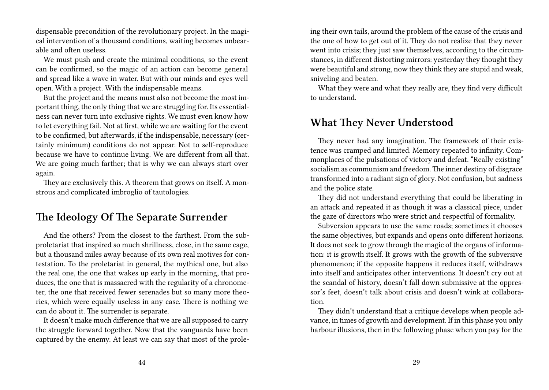dispensable precondition of the revolutionary project. In the magical intervention of a thousand conditions, waiting becomes unbearable and often useless.

We must push and create the minimal conditions, so the event can be confirmed, so the magic of an action can become general and spread like a wave in water. But with our minds and eyes well open. With a project. With the indispensable means.

But the project and the means must also not become the most important thing, the only thing that we are struggling for. Its essentialness can never turn into exclusive rights. We must even know how to let everything fail. Not at first, while we are waiting for the event to be confirmed, but afterwards, if the indispensable, necessary (certainly minimum) conditions do not appear. Not to self-reproduce because we have to continue living. We are different from all that. We are going much farther; that is why we can always start over again.

They are exclusively this. A theorem that grows on itself. A monstrous and complicated imbroglio of tautologies.

### **The Ideology Of The Separate Surrender**

And the others? From the closest to the farthest. From the subproletariat that inspired so much shrillness, close, in the same cage, but a thousand miles away because of its own real motives for contestation. To the proletariat in general, the mythical one, but also the real one, the one that wakes up early in the morning, that produces, the one that is massacred with the regularity of a chronometer, the one that received fewer serenades but so many more theories, which were equally useless in any case. There is nothing we can do about it. The surrender is separate.

It doesn't make much difference that we are all supposed to carry the struggle forward together. Now that the vanguards have been captured by the enemy. At least we can say that most of the proleing their own tails, around the problem of the cause of the crisis and the one of how to get out of it. They do not realize that they never went into crisis; they just saw themselves, according to the circumstances, in different distorting mirrors: yesterday they thought they were beautiful and strong, now they think they are stupid and weak, sniveling and beaten.

What they were and what they really are, they find very difficult to understand.

#### **What They Never Understood**

They never had any imagination. The framework of their existence was cramped and limited. Memory repeated to infinity. Commonplaces of the pulsations of victory and defeat. "Really existing" socialism as communism and freedom.The inner destiny of disgrace transformed into a radiant sign of glory. Not confusion, but sadness and the police state.

They did not understand everything that could be liberating in an attack and repeated it as though it was a classical piece, under the gaze of directors who were strict and respectful of formality.

Subversion appears to use the same roads; sometimes it chooses the same objectives, but expands and opens onto different horizons. It does not seek to grow through the magic of the organs of information: it is growth itself. It grows with the growth of the subversive phenomenon; if the opposite happens it reduces itself, withdraws into itself and anticipates other interventions. It doesn't cry out at the scandal of history, doesn't fall down submissive at the oppressor's feet, doesn't talk about crisis and doesn't wink at collaboration.

They didn't understand that a critique develops when people advance, in times of growth and development. If in this phase you only harbour illusions, then in the following phase when you pay for the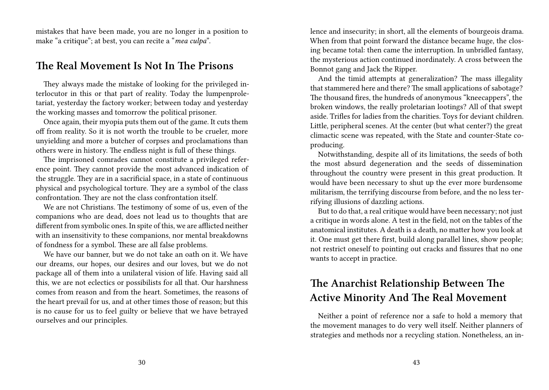mistakes that have been made, you are no longer in a position to make "a critique"; at best, you can recite a "*mea culpa*".

#### **The Real Movement Is Not In The Prisons**

They always made the mistake of looking for the privileged interlocutor in this or that part of reality. Today the lumpenproletariat, yesterday the factory worker; between today and yesterday the working masses and tomorrow the political prisoner.

Once again, their myopia puts them out of the game. It cuts them off from reality. So it is not worth the trouble to be crueler, more unyielding and more a butcher of corpses and proclamations than others were in history. The endless night is full of these things.

The imprisoned comrades cannot constitute a privileged reference point. They cannot provide the most advanced indication of the struggle. They are in a sacrificial space, in a state of continuous physical and psychological torture. They are a symbol of the class confrontation. They are not the class confrontation itself.

We are not Christians. The testimony of some of us, even of the companions who are dead, does not lead us to thoughts that are different from symbolic ones. In spite of this, we are afflicted neither with an insensitivity to these companions, nor mental breakdowns of fondness for a symbol. These are all false problems.

We have our banner, but we do not take an oath on it. We have our dreams, our hopes, our desires and our loves, but we do not package all of them into a unilateral vision of life. Having said all this, we are not eclectics or possibilists for all that. Our harshness comes from reason and from the heart. Sometimes, the reasons of the heart prevail for us, and at other times those of reason; but this is no cause for us to feel guilty or believe that we have betrayed ourselves and our principles.

lence and insecurity; in short, all the elements of bourgeois drama. When from that point forward the distance became huge, the closing became total: then came the interruption. In unbridled fantasy, the mysterious action continued inordinately. A cross between the Bonnot gang and Jack the Ripper.

And the timid attempts at generalization? The mass illegality that stammered here and there? The small applications of sabotage? The thousand fires, the hundreds of anonymous "kneecappers", the broken windows, the really proletarian lootings? All of that swept aside. Trifles for ladies from the charities. Toys for deviant children. Little, peripheral scenes. At the center (but what center?) the great climactic scene was repeated, with the State and counter-State coproducing.

Notwithstanding, despite all of its limitations, the seeds of both the most absurd degeneration and the seeds of dissemination throughout the country were present in this great production. It would have been necessary to shut up the ever more burdensome militarism, the terrifying discourse from before, and the no less terrifying illusions of dazzling actions.

But to do that, a real critique would have been necessary; not just a critique in words alone. A test in the field, not on the tables of the anatomical institutes. A death is a death, no matter how you look at it. One must get there first, build along parallel lines, show people; not restrict oneself to pointing out cracks and fissures that no one wants to accept in practice.

# **The Anarchist Relationship Between The Active Minority And The Real Movement**

Neither a point of reference nor a safe to hold a memory that the movement manages to do very well itself. Neither planners of strategies and methods nor a recycling station. Nonetheless, an in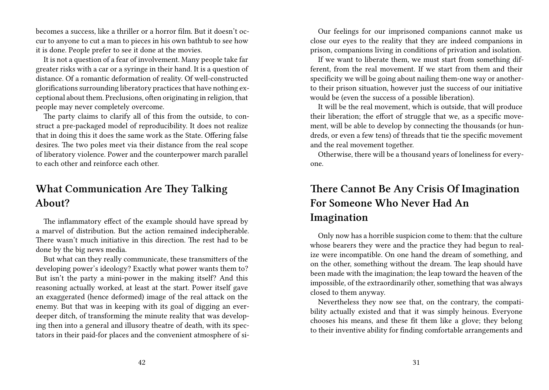becomes a success, like a thriller or a horror film. But it doesn't occur to anyone to cut a man to pieces in his own bathtub to see how it is done. People prefer to see it done at the movies.

It is not a question of a fear of involvement. Many people take far greater risks with a car or a syringe in their hand. It is a question of distance. Of a romantic deformation of reality. Of well-constructed glorifications surrounding liberatory practices that have nothing exceptional about them. Preclusions, often originating in religion, that people may never completely overcome.

The party claims to clarify all of this from the outside, to construct a pre-packaged model of reproducibility. It does not realize that in doing this it does the same work as the State. Offering false desires. The two poles meet via their distance from the real scope of liberatory violence. Power and the counterpower march parallel to each other and reinforce each other.

# **What Communication Are They Talking About?**

The inflammatory effect of the example should have spread by a marvel of distribution. But the action remained indecipherable. There wasn't much initiative in this direction. The rest had to be done by the big news media.

But what can they really communicate, these transmitters of the developing power's ideology? Exactly what power wants them to? But isn't the party a mini-power in the making itself? And this reasoning actually worked, at least at the start. Power itself gave an exaggerated (hence deformed) image of the real attack on the enemy. But that was in keeping with its goal of digging an everdeeper ditch, of transforming the minute reality that was developing then into a general and illusory theatre of death, with its spectators in their paid-for places and the convenient atmosphere of si-

Our feelings for our imprisoned companions cannot make us close our eyes to the reality that they are indeed companions in prison, companions living in conditions of privation and isolation.

If we want to liberate them, we must start from something different, from the real movement. If we start from them and their specificity we will be going about nailing them-one way or anotherto their prison situation, however just the success of our initiative would be (even the success of a possible liberation).

It will be the real movement, which is outside, that will produce their liberation; the effort of struggle that we, as a specific movement, will be able to develop by connecting the thousands (or hundreds, or even a few tens) of threads that tie the specific movement and the real movement together.

Otherwise, there will be a thousand years of loneliness for everyone.

# **There Cannot Be Any Crisis Of Imagination For Someone Who Never Had An Imagination**

Only now has a horrible suspicion come to them: that the culture whose bearers they were and the practice they had begun to realize were incompatible. On one hand the dream of something, and on the other, something without the dream. The leap should have been made with the imagination; the leap toward the heaven of the impossible, of the extraordinarily other, something that was always closed to them anyway.

Nevertheless they now see that, on the contrary, the compatibility actually existed and that it was simply heinous. Everyone chooses his means, and these fit them like a glove; they belong to their inventive ability for finding comfortable arrangements and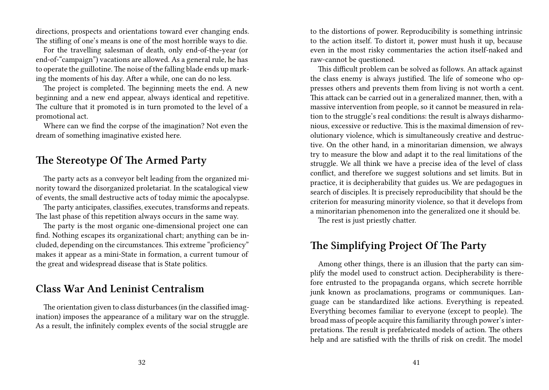directions, prospects and orientations toward ever changing ends. The stifling of one's means is one of the most horrible ways to die.

For the travelling salesman of death, only end-of-the-year (or end-of-"campaign") vacations are allowed. As a general rule, he has to operate the guillotine.The noise of the falling blade ends up marking the moments of his day. After a while, one can do no less.

The project is completed. The beginning meets the end. A new beginning and a new end appear, always identical and repetitive. The culture that it promoted is in turn promoted to the level of a promotional act.

Where can we find the corpse of the imagination? Not even the dream of something imaginative existed here.

## **The Stereotype Of The Armed Party**

The party acts as a conveyor belt leading from the organized minority toward the disorganized proletariat. In the scatalogical view of events, the small destructive acts of today mimic the apocalypse.

The party anticipates, classifies, executes, transforms and repeats. The last phase of this repetition always occurs in the same way.

The party is the most organic one-dimensional project one can find. Nothing escapes its organizational chart; anything can be included, depending on the circumstances. This extreme "proficiency" makes it appear as a mini-State in formation, a current tumour of the great and widespread disease that is State politics.

## **Class War And Leninist Centralism**

The orientation given to class disturbances (in the classified imagination) imposes the appearance of a military war on the struggle. As a result, the infinitely complex events of the social struggle are

to the distortions of power. Reproducibility is something intrinsic to the action itself. To distort it, power must hush it up, because even in the most risky commentaries the action itself-naked and raw-cannot be questioned.

This difficult problem can be solved as follows. An attack against the class enemy is always justified. The life of someone who oppresses others and prevents them from living is not worth a cent. This attack can be carried out in a generalized manner, then, with a massive intervention from people, so it cannot be measured in relation to the struggle's real conditions: the result is always disharmonious, excessive or reductive. This is the maximal dimension of revolutionary violence, which is simultaneously creative and destructive. On the other hand, in a minoritarian dimension, we always try to measure the blow and adapt it to the real limitations of the struggle. We all think we have a precise idea of the level of class conflict, and therefore we suggest solutions and set limits. But in practice, it is decipherability that guides us. We are pedagogues in search of disciples. It is precisely reproducibility that should be the criterion for measuring minority violence, so that it develops from a minoritarian phenomenon into the generalized one it should be.

The rest is just priestly chatter.

## **The Simplifying Project Of The Party**

Among other things, there is an illusion that the party can simplify the model used to construct action. Decipherability is therefore entrusted to the propaganda organs, which secrete horrible junk known as proclamations, programs or communiques. Language can be standardized like actions. Everything is repeated. Everything becomes familiar to everyone (except to people). The broad mass of people acquire this familiarity through power's interpretations. The result is prefabricated models of action. The others help and are satisfied with the thrills of risk on credit. The model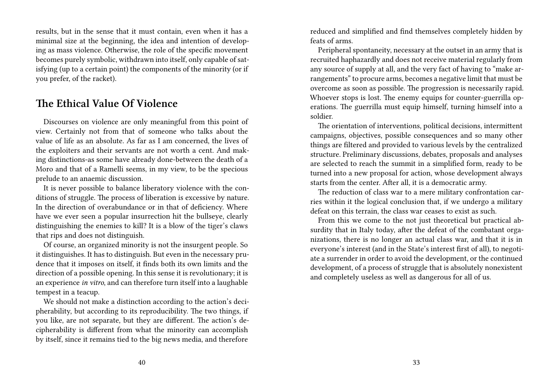results, but in the sense that it must contain, even when it has a minimal size at the beginning, the idea and intention of developing as mass violence. Otherwise, the role of the specific movement becomes purely symbolic, withdrawn into itself, only capable of satisfying (up to a certain point) the components of the minority (or if you prefer, of the racket).

### **The Ethical Value Of Violence**

Discourses on violence are only meaningful from this point of view. Certainly not from that of someone who talks about the value of life as an absolute. As far as I am concerned, the lives of the exploiters and their servants are not worth a cent. And making distinctions-as some have already done-between the death of a Moro and that of a Ramelli seems, in my view, to be the specious prelude to an anaemic discussion.

It is never possible to balance liberatory violence with the conditions of struggle. The process of liberation is excessive by nature. In the direction of overabundance or in that of deficiency. Where have we ever seen a popular insurrection hit the bullseye, clearly distinguishing the enemies to kill? It is a blow of the tiger's claws that rips and does not distinguish.

Of course, an organized minority is not the insurgent people. So it distinguishes. It has to distinguish. But even in the necessary prudence that it imposes on itself, it finds both its own limits and the direction of a possible opening. In this sense it is revolutionary; it is an experience *in vitro*, and can therefore turn itself into a laughable tempest in a teacup.

We should not make a distinction according to the action's decipherability, but according to its reproducibility. The two things, if you like, are not separate, but they are different. The action's decipherability is different from what the minority can accomplish by itself, since it remains tied to the big news media, and therefore

reduced and simplified and find themselves completely hidden by feats of arms.

Peripheral spontaneity, necessary at the outset in an army that is recruited haphazardly and does not receive material regularly from any source of supply at all, and the very fact of having to "make arrangements" to procure arms, becomes a negative limit that must be overcome as soon as possible. The progression is necessarily rapid. Whoever stops is lost. The enemy equips for counter-guerrilla operations. The guerrilla must equip himself, turning himself into a soldier.

The orientation of interventions, political decisions, intermittent campaigns, objectives, possible consequences and so many other things are filtered and provided to various levels by the centralized structure. Preliminary discussions, debates, proposals and analyses are selected to reach the summit in a simplified form, ready to be turned into a new proposal for action, whose development always starts from the center. After all, it is a democratic army.

The reduction of class war to a mere military confrontation carries within it the logical conclusion that, if we undergo a military defeat on this terrain, the class war ceases to exist as such.

From this we come to the not just theoretical but practical absurdity that in Italy today, after the defeat of the combatant organizations, there is no longer an actual class war, and that it is in everyone's interest (and in the State's interest first of all), to negotiate a surrender in order to avoid the development, or the continued development, of a process of struggle that is absolutely nonexistent and completely useless as well as dangerous for all of us.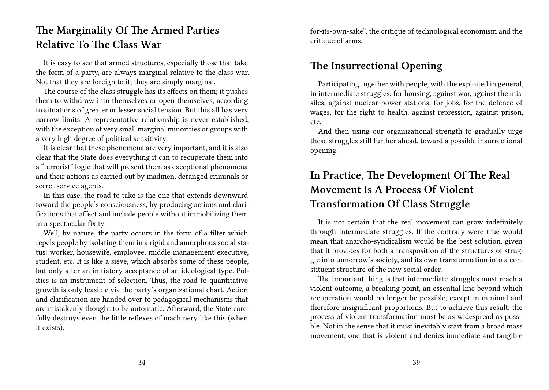# **The Marginality Of The Armed Parties Relative To The Class War**

It is easy to see that armed structures, especially those that take the form of a party, are always marginal relative to the class war. Not that they are foreign to it; they are simply marginal.

The course of the class struggle has its effects on them; it pushes them to withdraw into themselves or open themselves, according to situations of greater or lesser social tension. But this all has very narrow limits. A representative relationship is never established, with the exception of very small marginal minorities or groups with a very high degree of political sensitivity.

It is clear that these phenomena are very important, and it is also clear that the State does everything it can to recuperate them into a "terrorist" logic that will present them as exceptional phenomena and their actions as carried out by madmen, deranged criminals or secret service agents.

In this case, the road to take is the one that extends downward toward the people's consciousness, by producing actions and clarifications that affect and include people without immobilizing them in a spectacular fixity.

Well, by nature, the party occurs in the form of a filter which repels people by isolating them in a rigid and amorphous social status: worker, housewife, employee, middle management executive, student, etc. It is like a sieve, which absorbs some of these people, but only after an initiatory acceptance of an ideological type. Politics is an instrument of selection. Thus, the road to quantitative growth is only feasible via the party's organizational chart. Action and clarification are handed over to pedagogical mechanisms that are mistakenly thought to be automatic. Afterward, the State carefully destroys even the little reflexes of machinery like this (when it exists).

for-its-own-sake", the critique of technological economism and the critique of arms.

## **The Insurrectional Opening**

Participating together with people, with the exploited in general, in intermediate struggles: for housing, against war, against the missiles, against nuclear power stations, for jobs, for the defence of wages, for the right to health, against repression, against prison, etc.

And then using our organizational strength to gradually urge these struggles still further ahead, toward a possible insurrectional opening.

# **In Practice, The Development Of The Real Movement Is A Process Of Violent Transformation Of Class Struggle**

It is not certain that the real movement can grow indefinitely through intermediate struggles. If the contrary were true would mean that anarcho-syndicalism would be the best solution, given that it provides for both a transposition of the structures of struggle into tomorrow's society, and its own transformation into a constituent structure of the new social order.

The important thing is that intermediate struggles must reach a violent outcome, a breaking point, an essential line beyond which recuperation would no longer be possible, except in minimal and therefore insignificant proportions. But to achieve this result, the process of violent transformation must be as widespread as possible. Not in the sense that it must inevitably start from a broad mass movement, one that is violent and denies immediate and tangible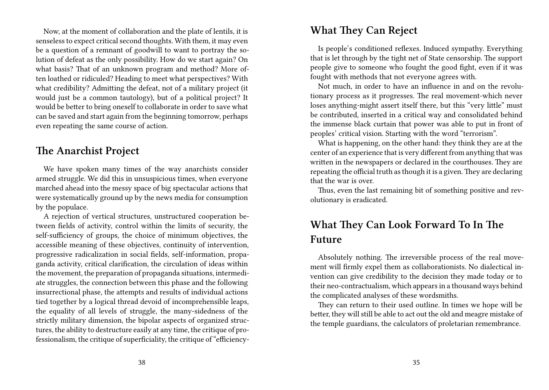Now, at the moment of collaboration and the plate of lentils, it is senseless to expect critical second thoughts. With them, it may even be a question of a remnant of goodwill to want to portray the solution of defeat as the only possibility. How do we start again? On what basis? That of an unknown program and method? More often loathed or ridiculed? Heading to meet what perspectives? With what credibility? Admitting the defeat, not of a military project (it would just be a common tautology), but of a political project? It would be better to bring oneself to collaborate in order to save what can be saved and start again from the beginning tomorrow, perhaps even repeating the same course of action.

#### **The Anarchist Project**

We have spoken many times of the way anarchists consider armed struggle. We did this in unsuspicious times, when everyone marched ahead into the messy space of big spectacular actions that were systematically ground up by the news media for consumption by the populace.

A rejection of vertical structures, unstructured cooperation between fields of activity, control within the limits of security, the self-sufficiency of groups, the choice of minimum objectives, the accessible meaning of these objectives, continuity of intervention, progressive radicalization in social fields, self-information, propaganda activity, critical clarification, the circulation of ideas within the movement, the preparation of propaganda situations, intermediate struggles, the connection between this phase and the following insurrectional phase, the attempts and results of individual actions tied together by a logical thread devoid of incomprehensible leaps, the equality of all levels of struggle, the many-sidedness of the strictly military dimension, the bipolar aspects of organized structures, the ability to destructure easily at any time, the critique of professionalism, the critique of superficiality, the critique of "efficiency-

### **What They Can Reject**

Is people's conditioned reflexes. Induced sympathy. Everything that is let through by the tight net of State censorship. The support people give to someone who fought the good fight, even if it was fought with methods that not everyone agrees with.

Not much, in order to have an influence in and on the revolutionary process as it progresses. The real movement-which never loses anything-might assert itself there, but this "very little" must be contributed, inserted in a critical way and consolidated behind the immense black curtain that power was able to put in front of peoples' critical vision. Starting with the word "terrorism".

What is happening, on the other hand: they think they are at the center of an experience that is very different from anything that was written in the newspapers or declared in the courthouses. They are repeating the official truth as though it is a given. They are declaring that the war is over.

Thus, even the last remaining bit of something positive and revolutionary is eradicated.

# **What They Can Look Forward To In The Future**

Absolutely nothing. The irreversible process of the real movement will firmly expel them as collaborationists. No dialectical invention can give credibility to the decision they made today or to their neo-contractualism, which appears in a thousand ways behind the complicated analyses of these wordsmiths.

They can return to their used outline. In times we hope will be better, they will still be able to act out the old and meagre mistake of the temple guardians, the calculators of proletarian remembrance.